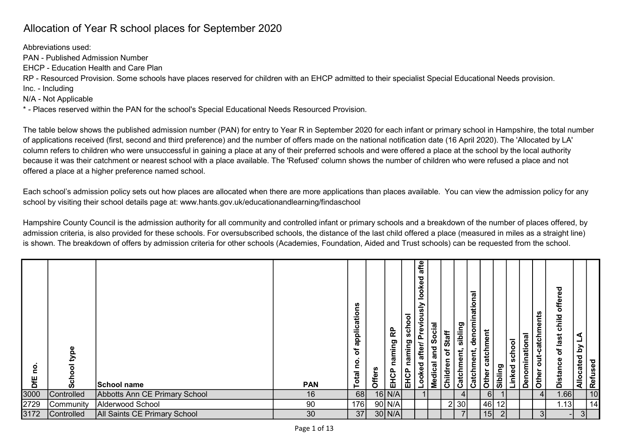## Allocation of Year R school places for September 2020

Abbreviations used:

PAN - Published Admission Number

EHCP - Education Health and Care Plan

RP - Resourced Provision. Some schools have places reserved for children with an EHCP admitted to their specialist Special Educational Needs provision.

Inc. - Including

N/A - Not Applicable

\* - Places reserved within the PAN for the school's Special Educational Needs Resourced Provision.

The table below shows the published admission number (PAN) for entry to Year R in September 2020 for each infant or primary school in Hampshire, the total number of applications received (first, second and third preference) and the number of offers made on the national notification date (16 April 2020). The 'Allocated by LA' column refers to children who were unsuccessful in gaining a place at any of their preferred schools and were offered a place at the school by the local authority because it was their catchment or nearest school with a place available. The 'Refused' column shows the number of children who were refused a place and not offered a place at a higher preference named school.

Each school's admission policy sets out how places are allocated when there are more applications than places available. You can view the admission policy for any school by visiting their school details page at: www.hants.gov.uk/educationandlearning/findaschool

Hampshire County Council is the admission authority for all community and controlled infant or primary schools and a breakdown of the number of places offered, by admission criteria, is also provided for these schools. For oversubscribed schools, the distance of the last child offered a place (measured in miles as a straight line) is shown. The breakdown of offers by admission criteria for other schools (Academies, Foundation, Aided and Trust schools) can be requested from the school.

| 3000<br>2729<br>3172<br> .66 <br>68<br>$16$ N/A<br>Controlled<br>Abbotts Ann CE Primary School<br>16<br>6<br>4 <sup>1</sup><br>14<br>$90$ N/A<br>46<br>.13<br>Alderwood School<br>90<br>2 30<br>176<br>12<br> Community<br>37<br>15<br>30<br>30 N/A <br>3 <sup>1</sup><br><b>All Saints CE Primary School</b><br>3I<br><b>Controlled</b> | DfE | Φ<br>Šch | School name | <b>PAN</b> | applications<br>đ<br>Total no. | <b>Offers</b> | EHCP naming RP | EHCP naming school | afte<br>looked<br><b>Looked after/ Previously</b> | <b>Medical and Social</b><br>Children of Staff | Catchment, sibling | Catchment, denominational | Other catchment | Sibling | Linked school | Denominational | Other out-catchments | ರ<br>Φ<br>offere<br>Distance of last child | Allocated by LA | $\frac{1}{2}$ Refused |  |
|------------------------------------------------------------------------------------------------------------------------------------------------------------------------------------------------------------------------------------------------------------------------------------------------------------------------------------------|-----|----------|-------------|------------|--------------------------------|---------------|----------------|--------------------|---------------------------------------------------|------------------------------------------------|--------------------|---------------------------|-----------------|---------|---------------|----------------|----------------------|--------------------------------------------|-----------------|-----------------------|--|
|                                                                                                                                                                                                                                                                                                                                          |     |          |             |            |                                |               |                |                    |                                                   |                                                |                    |                           |                 |         |               |                |                      |                                            |                 |                       |  |
|                                                                                                                                                                                                                                                                                                                                          |     |          |             |            |                                |               |                |                    |                                                   |                                                |                    |                           |                 |         |               |                |                      |                                            |                 |                       |  |
|                                                                                                                                                                                                                                                                                                                                          |     |          |             |            |                                |               |                |                    |                                                   |                                                |                    |                           |                 |         |               |                |                      |                                            |                 |                       |  |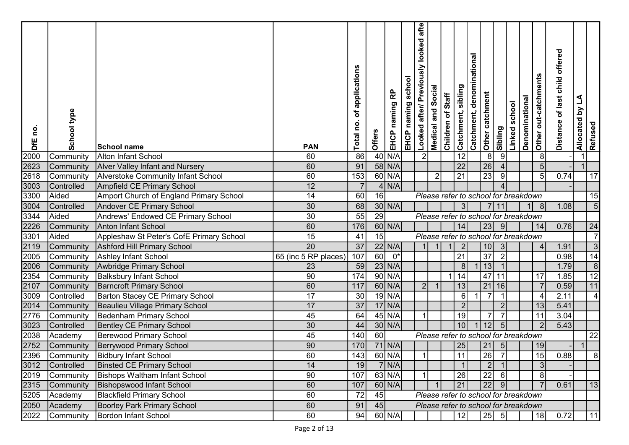| <u>o</u><br>DfE | School type     | School name                                                              | <b>PAN</b>           | applications<br>ð<br>ě<br>Total | Offers          | 윤<br>naming<br>EHCP | school<br>EHCP naming | afte<br>looked<br>visn<br>Looked after/ Previo | Social<br>Medical and | Children of Staff | Catchment, sibling    | Catchment, denominational | Other catchment<br>Sibling             | Linked school                        | Denominational | Other out-catchments     | offered<br>of last child<br><b>Distance</b> | L<br>Allocated by | Refused          |  |
|-----------------|-----------------|--------------------------------------------------------------------------|----------------------|---------------------------------|-----------------|---------------------|-----------------------|------------------------------------------------|-----------------------|-------------------|-----------------------|---------------------------|----------------------------------------|--------------------------------------|----------------|--------------------------|---------------------------------------------|-------------------|------------------|--|
| 2000            | Community       | Alton Infant School                                                      | 60                   | 86                              |                 | $40$ N/A            |                       | 2                                              |                       |                   | 12                    |                           | 8 <sup>8</sup>                         | 9                                    |                | 8                        |                                             |                   |                  |  |
| 2623            | Community       | <b>Alver Valley Infant and Nursery</b>                                   | 60                   | 91                              |                 | 58 N/A              |                       |                                                |                       |                   | $\overline{22}$       |                           | 26                                     |                                      |                | 5                        |                                             |                   |                  |  |
| 2618            | Community       | <b>Alverstoke Community Infant School</b>                                | 60                   | 153                             |                 | $60$ N/A            |                       |                                                | $\overline{2}$        |                   | 21                    |                           | $\overline{23}$                        | 9                                    |                | 5                        | 0.74                                        |                   | 17               |  |
| 3003            | Controlled      | Ampfield CE Primary School                                               | 12                   | $\overline{7}$                  |                 | $4$ N/A             |                       |                                                |                       |                   |                       |                           |                                        |                                      |                |                          |                                             |                   |                  |  |
| 3300            | Aided           | Amport Church of England Primary School                                  | 14                   | 60                              | 16              |                     |                       |                                                |                       |                   |                       |                           |                                        | Please refer to school for breakdown |                |                          |                                             |                   | 15               |  |
| 3004            | Controlled      | <b>Andover CE Primary School</b>                                         | 30                   | 68                              |                 | $30$ N/A            |                       |                                                |                       |                   |                       |                           | 11                                     |                                      |                | 8                        | 1.08                                        |                   | 5                |  |
| 3344            | Aided           | Andrews' Endowed CE Primary School                                       | $\overline{30}$      | 55                              | $\overline{29}$ |                     |                       |                                                |                       |                   |                       |                           |                                        | Please refer to school for breakdown |                |                          |                                             |                   |                  |  |
| 2226            | Community       | <b>Anton Infant School</b>                                               | 60                   | 176                             |                 | $60$ N/A            |                       |                                                |                       |                   | 4                     |                           | 23                                     | 9                                    |                | 14                       | 0.76                                        |                   | 24               |  |
| 3301            | Aided           | Appleshaw St Peter's CofE Primary School                                 | $\overline{15}$      | 41                              | 15              |                     |                       |                                                |                       |                   |                       |                           |                                        | Please refer to school for breakdown |                |                          |                                             |                   |                  |  |
| 2119            | Community       | Ashford Hill Primary School                                              | $\overline{20}$      | $\overline{37}$                 |                 | $22$ N/A            |                       |                                                |                       |                   |                       |                           | 10                                     | 3                                    |                | $\overline{\mathcal{L}}$ | 1.91                                        |                   | 3                |  |
| 2005            | Community       | Ashley Infant School                                                     | 65 (inc 5 RP places) | 107                             | 60              | $\overline{0^*}$    |                       |                                                |                       |                   | 21                    |                           | $\overline{37}$                        |                                      |                |                          | 0.98                                        |                   | $\overline{14}$  |  |
| 2006            | Community       | Awbridge Primary School                                                  | 23                   | 59                              |                 | $23$ N/A            |                       |                                                |                       |                   | 8                     |                           | 13                                     |                                      |                |                          | 1.79                                        |                   | $\boldsymbol{8}$ |  |
| 2354            | Community       | <b>Balksbury Infant School</b>                                           | 90                   | 174                             |                 | $90$ N/A            |                       |                                                |                       |                   | $\overline{14}$       |                           | 47<br>11                               |                                      |                | 17                       | 1.85                                        |                   | 12               |  |
| 2107            | Community       | <b>Barncroft Primary School</b>                                          | 60                   | 117                             |                 | $60$ N/A            |                       | 2 <sup>1</sup>                                 |                       |                   | 13                    |                           | 21<br> 16                              |                                      |                |                          | 0.59                                        |                   | 11               |  |
| 3009            | Controlled      | <b>Barton Stacey CE Primary School</b>                                   | 17                   | 30                              |                 | $19$ N/A            |                       |                                                |                       |                   | $6 \mid$              |                           | $\overline{7}$                         |                                      |                | $\overline{\phantom{a}}$ | 2.11                                        |                   |                  |  |
| 2014            | Community       | Beaulieu Village Primary School                                          | 17                   | 37                              |                 | $17$ N/A            |                       |                                                |                       |                   | $\overline{2}$        |                           |                                        | $\overline{2}$                       |                | 13                       | 5.41                                        |                   |                  |  |
| 2776            | Community       | Bedenham Primary School                                                  | 45                   | 64                              |                 | $45$ N/A            |                       |                                                |                       |                   | 19                    |                           | 7 <sub>1</sub>                         | -7                                   |                | 11                       | 3.04                                        |                   |                  |  |
| 3023            | Controlled      | <b>Bentley CE Primary School</b>                                         | 30                   | 44                              |                 | $30$ N/A            |                       |                                                |                       |                   | 10 <sup>1</sup>       |                           | 12                                     | 5                                    |                | 2                        | 5.43                                        |                   |                  |  |
| 2038            | Academy         | Berewood Primary School                                                  | 45                   | 140                             | 60              |                     |                       |                                                |                       |                   |                       |                           |                                        | Please refer to school for breakdown |                |                          |                                             |                   | 22               |  |
| 2752            | Community       | Berrywood Primary School                                                 | 90                   | 170                             |                 | $71$ N/A            |                       |                                                |                       |                   | 25<br>$\overline{11}$ |                           | 21                                     | $\sqrt{5}$<br>$\overline{7}$         |                | 19<br>$\overline{15}$    |                                             |                   | $\Omega$         |  |
|                 |                 | 2396 Community Bidbury Infant School<br><b>Binsted CE Primary School</b> | 60<br>14             | 143<br>19                       |                 | 60 N/A              |                       |                                                |                       |                   |                       |                           | $\overline{26}$<br>$\vert$ 2           |                                      |                |                          | 0.88                                        |                   |                  |  |
|                 | 3012 Controlled | Community   Bishops Waltham Infant School                                | 90                   | 107                             |                 | 7 N/A <br>$63$ N/A  |                       |                                                |                       |                   |                       |                           |                                        |                                      |                |                          |                                             |                   |                  |  |
| 2019<br>2315    | Community       | <b>Bishopswood Infant School</b>                                         | 60                   | 107                             |                 | $60$ N/A            |                       |                                                |                       |                   | 26<br>21              |                           | 22<br>22                               | -61<br>-91                           |                |                          | 0.61                                        |                   | 13               |  |
| 5205            | Academy         | <b>Blackfield Primary School</b>                                         | 60                   | 72                              | 45              |                     |                       |                                                |                       |                   |                       |                           |                                        | Please refer to school for breakdown |                |                          |                                             |                   |                  |  |
|                 |                 | Boorley Park Primary School                                              | 60                   | 91                              | 45              |                     |                       |                                                |                       |                   |                       |                           |                                        |                                      |                |                          |                                             |                   |                  |  |
| 2050            | Academy         |                                                                          |                      |                                 |                 |                     |                       |                                                |                       |                   |                       |                           |                                        | Please refer to school for breakdown |                |                          |                                             |                   |                  |  |
|                 | 2022 Community  | <b>Bordon Infant School</b>                                              | 60                   | 94                              |                 | $60$ N/A            |                       |                                                |                       |                   | 12                    |                           | $\begin{vmatrix} 25 & 5 \end{vmatrix}$ |                                      |                | 18                       | 0.72                                        |                   | 11               |  |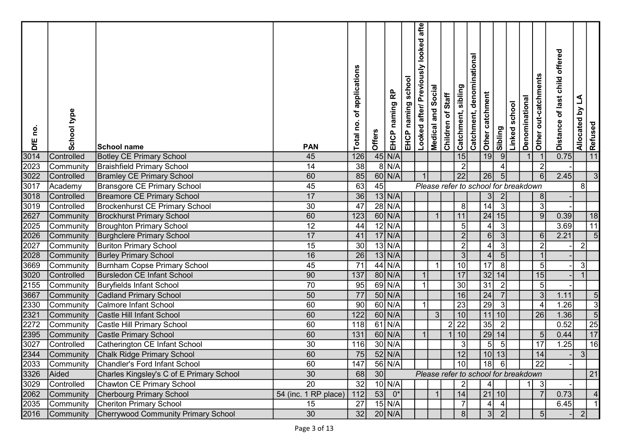| $45$ N/A<br>11<br>19<br> 9 <br>3014<br>126<br>15<br>0.75<br>Controlled<br>45<br><b>Botley CE Primary School</b><br>$8$ N/A<br>38<br>2023<br>$\overline{2}$<br>14<br><b>Braishfield Primary School</b><br>$\overline{2}$<br>Community<br>3022<br>$60$ N/A<br>$\overline{22}$<br>60<br>85<br>26<br>2.45<br>3<br>5<br><b>Bramley CE Primary School</b><br>6<br>Controlled<br>63<br>45<br>3017<br>45<br>Bransgore CE Primary School<br>Please refer to school for breakdown<br>8<br>Academy<br>17<br>36<br>3018<br><b>Breamore CE Primary School</b><br>$13$ N/A<br>$\mathbf{3}$<br>$\overline{2}$<br>8<br>Controlled<br>$\overline{47}$<br>$\overline{30}$<br>$28$ N/A<br>14<br>3019<br>3<br>8<br>3<br><b>Brockenhurst CE Primary School</b><br>Controlled<br>$60$ N/A<br>2627<br>60<br>24 15<br>123<br>11<br>0.39<br>$\overline{9}$<br>18<br><b>Brockhurst Primary School</b><br>$\overline{1}$<br>Community<br>11<br>2025<br>$12$ N/A<br>12<br>3.69<br>44<br>5 <sub>5</sub><br>$\lvert 3 \rvert$<br><b>Broughton Primary School</b><br>$\vert 4 \vert$<br>Community<br>$17$ N/A<br>2026<br>41<br>2.21<br>5<br>17<br>$\overline{2}$<br>$6 \,$<br>$\mathbf{3}$<br><b>Burghclere Primary School</b><br>Community<br>6<br>2027<br>$13$ N/A<br>15<br>30<br>$\mathbf{2}$<br>4<br>3<br>2 <br><b>Buriton Primary School</b><br>Community<br>$13$ N/A<br>$\overline{26}$<br>2028<br>16<br>3 <br>$\overline{4}$<br>5 <sub>5</sub><br>Community<br><b>Burley Primary School</b><br>3669<br>44 N/A<br>$\overline{71}$<br>10 <sub>l</sub><br>17<br>45<br>8<br>3 <br>Burnham Copse Primary School<br>$\overline{\mathbf{1}}$<br>5<br>Community<br>3020<br>80 N/A<br>17<br>32 14 <br>90<br>137<br>15<br>Bursledon CE Infant School<br>Controlled<br>69 N/A<br>$\overline{30}$<br>31<br>2155<br>70<br>95<br>$\overline{2}$<br><b>Buryfields Infant School</b><br>5<br>Community<br>3667<br>50 N/A<br>16<br>24<br>50<br>77<br>1.11<br>5<br>3<br><b>Cadland Primary School</b><br>Community<br>$\overline{23}$<br>$\overline{29}$<br>$\overline{90}$<br>60 N/A<br>1.26<br>$\overline{3}$<br>2330<br>60<br>3<br>Calmore Infant School<br>Community<br>$\overline{4}$<br>2321<br>$\overline{10}$<br>$11$ 10<br>$\overline{5}$<br>60 N/A<br>1.36<br>60<br>122<br>3<br>$\overline{26}$<br>Castle Hill Infant School<br>Community<br>$\frac{25}{17}$<br>$61$ N/A<br>2 22 <br>35<br>0.52<br>2272<br>118<br>$\vert$ 2<br><b>Castle Hill Primary School</b><br>60<br>Community<br>$60$ N/A<br>10<br>29<br>131<br>0.44<br>2395<br>14<br>Castle Primary School<br>60<br>Community<br>$\overline{5}$<br>$\overline{16}$<br>3027<br>$30$ N/A<br>30<br>$5\overline{)}$<br>17<br>.25<br><b>Catherington CE Infant School</b><br>116<br>3<br>Controlled<br>5<br>60<br>$\overline{75}$<br>$52$ N/A<br>$\overline{12}$<br> 13 <br>$\overline{14}$<br>2344<br>10<br>Community<br>Chalk Ridge Primary School<br>3 <sup>1</sup><br>2033<br>56 N/A<br>$\overline{22}$<br>60<br>147<br>10 <sup>1</sup><br>18<br>Community Chandler's Ford Infant School<br>- 61<br>3326<br>30<br>Aided<br>Charles Kingsley's C of E Primary School<br>30<br>68<br>Please refer to school for breakdown<br>21<br>$\overline{20}$<br>3029<br>32<br>$10$ N/A<br>Controlled<br>Chawton CE Primary School<br>$\overline{3}$<br>4<br>2062<br>53<br>$0^*$<br>0.73<br>Cherbourg Primary School<br>54 (inc. 1 RP place)<br>14<br>21 10 <br>Community<br>112<br>$15$ N/A<br>2035<br><b>Cheriton Primary School</b><br>6.45<br>27<br>Community<br>15<br>$\vert$<br>30<br>32<br>$20$ N/A<br>Cherrywood Community Primary School<br> 8 <br> 3 <br> 2 <br>$\overline{2}$<br>Community<br>5 | <u>o</u><br>DfE | School type | School name | <b>PAN</b> | of applications<br>Total no. | Offers | 윤<br>EHCP naming | EHCP naming school | Looked after/ Previously looked afte | <b>Medical and Social</b> | Children of Staff | Catchment, denominational<br>Catchment, sibling | Other catchment | Sibling | Linked school | Denominational | Other out-catchments | of last child offered<br><b>Distance</b> | Allocated by LA | Refused |
|---------------------------------------------------------------------------------------------------------------------------------------------------------------------------------------------------------------------------------------------------------------------------------------------------------------------------------------------------------------------------------------------------------------------------------------------------------------------------------------------------------------------------------------------------------------------------------------------------------------------------------------------------------------------------------------------------------------------------------------------------------------------------------------------------------------------------------------------------------------------------------------------------------------------------------------------------------------------------------------------------------------------------------------------------------------------------------------------------------------------------------------------------------------------------------------------------------------------------------------------------------------------------------------------------------------------------------------------------------------------------------------------------------------------------------------------------------------------------------------------------------------------------------------------------------------------------------------------------------------------------------------------------------------------------------------------------------------------------------------------------------------------------------------------------------------------------------------------------------------------------------------------------------------------------------------------------------------------------------------------------------------------------------------------------------------------------------------------------------------------------------------------------------------------------------------------------------------------------------------------------------------------------------------------------------------------------------------------------------------------------------------------------------------------------------------------------------------------------------------------------------------------------------------------------------------------------------------------------------------------------------------------------------------------------------------------------------------------------------------------------------------------------------------------------------------------------------------------------------------------------------------------------------------------------------------------------------------------------------------------------------------------------------------------------------------------------------------------------------------------------------------------------------------------------------------------------------------------------------------------------------------------------------------------------------------------------------------------------------------------------------------------------------------------------------------------------------------------------------------------------------------------------------------------------------------------------------------------------------------------|-----------------|-------------|-------------|------------|------------------------------|--------|------------------|--------------------|--------------------------------------|---------------------------|-------------------|-------------------------------------------------|-----------------|---------|---------------|----------------|----------------------|------------------------------------------|-----------------|---------|
|                                                                                                                                                                                                                                                                                                                                                                                                                                                                                                                                                                                                                                                                                                                                                                                                                                                                                                                                                                                                                                                                                                                                                                                                                                                                                                                                                                                                                                                                                                                                                                                                                                                                                                                                                                                                                                                                                                                                                                                                                                                                                                                                                                                                                                                                                                                                                                                                                                                                                                                                                                                                                                                                                                                                                                                                                                                                                                                                                                                                                                                                                                                                                                                                                                                                                                                                                                                                                                                                                                                                                                                                                     |                 |             |             |            |                              |        |                  |                    |                                      |                           |                   |                                                 |                 |         |               |                |                      |                                          |                 |         |
|                                                                                                                                                                                                                                                                                                                                                                                                                                                                                                                                                                                                                                                                                                                                                                                                                                                                                                                                                                                                                                                                                                                                                                                                                                                                                                                                                                                                                                                                                                                                                                                                                                                                                                                                                                                                                                                                                                                                                                                                                                                                                                                                                                                                                                                                                                                                                                                                                                                                                                                                                                                                                                                                                                                                                                                                                                                                                                                                                                                                                                                                                                                                                                                                                                                                                                                                                                                                                                                                                                                                                                                                                     |                 |             |             |            |                              |        |                  |                    |                                      |                           |                   |                                                 |                 |         |               |                |                      |                                          |                 |         |
|                                                                                                                                                                                                                                                                                                                                                                                                                                                                                                                                                                                                                                                                                                                                                                                                                                                                                                                                                                                                                                                                                                                                                                                                                                                                                                                                                                                                                                                                                                                                                                                                                                                                                                                                                                                                                                                                                                                                                                                                                                                                                                                                                                                                                                                                                                                                                                                                                                                                                                                                                                                                                                                                                                                                                                                                                                                                                                                                                                                                                                                                                                                                                                                                                                                                                                                                                                                                                                                                                                                                                                                                                     |                 |             |             |            |                              |        |                  |                    |                                      |                           |                   |                                                 |                 |         |               |                |                      |                                          |                 |         |
|                                                                                                                                                                                                                                                                                                                                                                                                                                                                                                                                                                                                                                                                                                                                                                                                                                                                                                                                                                                                                                                                                                                                                                                                                                                                                                                                                                                                                                                                                                                                                                                                                                                                                                                                                                                                                                                                                                                                                                                                                                                                                                                                                                                                                                                                                                                                                                                                                                                                                                                                                                                                                                                                                                                                                                                                                                                                                                                                                                                                                                                                                                                                                                                                                                                                                                                                                                                                                                                                                                                                                                                                                     |                 |             |             |            |                              |        |                  |                    |                                      |                           |                   |                                                 |                 |         |               |                |                      |                                          |                 |         |
|                                                                                                                                                                                                                                                                                                                                                                                                                                                                                                                                                                                                                                                                                                                                                                                                                                                                                                                                                                                                                                                                                                                                                                                                                                                                                                                                                                                                                                                                                                                                                                                                                                                                                                                                                                                                                                                                                                                                                                                                                                                                                                                                                                                                                                                                                                                                                                                                                                                                                                                                                                                                                                                                                                                                                                                                                                                                                                                                                                                                                                                                                                                                                                                                                                                                                                                                                                                                                                                                                                                                                                                                                     |                 |             |             |            |                              |        |                  |                    |                                      |                           |                   |                                                 |                 |         |               |                |                      |                                          |                 |         |
|                                                                                                                                                                                                                                                                                                                                                                                                                                                                                                                                                                                                                                                                                                                                                                                                                                                                                                                                                                                                                                                                                                                                                                                                                                                                                                                                                                                                                                                                                                                                                                                                                                                                                                                                                                                                                                                                                                                                                                                                                                                                                                                                                                                                                                                                                                                                                                                                                                                                                                                                                                                                                                                                                                                                                                                                                                                                                                                                                                                                                                                                                                                                                                                                                                                                                                                                                                                                                                                                                                                                                                                                                     |                 |             |             |            |                              |        |                  |                    |                                      |                           |                   |                                                 |                 |         |               |                |                      |                                          |                 |         |
|                                                                                                                                                                                                                                                                                                                                                                                                                                                                                                                                                                                                                                                                                                                                                                                                                                                                                                                                                                                                                                                                                                                                                                                                                                                                                                                                                                                                                                                                                                                                                                                                                                                                                                                                                                                                                                                                                                                                                                                                                                                                                                                                                                                                                                                                                                                                                                                                                                                                                                                                                                                                                                                                                                                                                                                                                                                                                                                                                                                                                                                                                                                                                                                                                                                                                                                                                                                                                                                                                                                                                                                                                     |                 |             |             |            |                              |        |                  |                    |                                      |                           |                   |                                                 |                 |         |               |                |                      |                                          |                 |         |
|                                                                                                                                                                                                                                                                                                                                                                                                                                                                                                                                                                                                                                                                                                                                                                                                                                                                                                                                                                                                                                                                                                                                                                                                                                                                                                                                                                                                                                                                                                                                                                                                                                                                                                                                                                                                                                                                                                                                                                                                                                                                                                                                                                                                                                                                                                                                                                                                                                                                                                                                                                                                                                                                                                                                                                                                                                                                                                                                                                                                                                                                                                                                                                                                                                                                                                                                                                                                                                                                                                                                                                                                                     |                 |             |             |            |                              |        |                  |                    |                                      |                           |                   |                                                 |                 |         |               |                |                      |                                          |                 |         |
|                                                                                                                                                                                                                                                                                                                                                                                                                                                                                                                                                                                                                                                                                                                                                                                                                                                                                                                                                                                                                                                                                                                                                                                                                                                                                                                                                                                                                                                                                                                                                                                                                                                                                                                                                                                                                                                                                                                                                                                                                                                                                                                                                                                                                                                                                                                                                                                                                                                                                                                                                                                                                                                                                                                                                                                                                                                                                                                                                                                                                                                                                                                                                                                                                                                                                                                                                                                                                                                                                                                                                                                                                     |                 |             |             |            |                              |        |                  |                    |                                      |                           |                   |                                                 |                 |         |               |                |                      |                                          |                 |         |
|                                                                                                                                                                                                                                                                                                                                                                                                                                                                                                                                                                                                                                                                                                                                                                                                                                                                                                                                                                                                                                                                                                                                                                                                                                                                                                                                                                                                                                                                                                                                                                                                                                                                                                                                                                                                                                                                                                                                                                                                                                                                                                                                                                                                                                                                                                                                                                                                                                                                                                                                                                                                                                                                                                                                                                                                                                                                                                                                                                                                                                                                                                                                                                                                                                                                                                                                                                                                                                                                                                                                                                                                                     |                 |             |             |            |                              |        |                  |                    |                                      |                           |                   |                                                 |                 |         |               |                |                      |                                          |                 |         |
|                                                                                                                                                                                                                                                                                                                                                                                                                                                                                                                                                                                                                                                                                                                                                                                                                                                                                                                                                                                                                                                                                                                                                                                                                                                                                                                                                                                                                                                                                                                                                                                                                                                                                                                                                                                                                                                                                                                                                                                                                                                                                                                                                                                                                                                                                                                                                                                                                                                                                                                                                                                                                                                                                                                                                                                                                                                                                                                                                                                                                                                                                                                                                                                                                                                                                                                                                                                                                                                                                                                                                                                                                     |                 |             |             |            |                              |        |                  |                    |                                      |                           |                   |                                                 |                 |         |               |                |                      |                                          |                 |         |
|                                                                                                                                                                                                                                                                                                                                                                                                                                                                                                                                                                                                                                                                                                                                                                                                                                                                                                                                                                                                                                                                                                                                                                                                                                                                                                                                                                                                                                                                                                                                                                                                                                                                                                                                                                                                                                                                                                                                                                                                                                                                                                                                                                                                                                                                                                                                                                                                                                                                                                                                                                                                                                                                                                                                                                                                                                                                                                                                                                                                                                                                                                                                                                                                                                                                                                                                                                                                                                                                                                                                                                                                                     |                 |             |             |            |                              |        |                  |                    |                                      |                           |                   |                                                 |                 |         |               |                |                      |                                          |                 |         |
|                                                                                                                                                                                                                                                                                                                                                                                                                                                                                                                                                                                                                                                                                                                                                                                                                                                                                                                                                                                                                                                                                                                                                                                                                                                                                                                                                                                                                                                                                                                                                                                                                                                                                                                                                                                                                                                                                                                                                                                                                                                                                                                                                                                                                                                                                                                                                                                                                                                                                                                                                                                                                                                                                                                                                                                                                                                                                                                                                                                                                                                                                                                                                                                                                                                                                                                                                                                                                                                                                                                                                                                                                     |                 |             |             |            |                              |        |                  |                    |                                      |                           |                   |                                                 |                 |         |               |                |                      |                                          |                 |         |
|                                                                                                                                                                                                                                                                                                                                                                                                                                                                                                                                                                                                                                                                                                                                                                                                                                                                                                                                                                                                                                                                                                                                                                                                                                                                                                                                                                                                                                                                                                                                                                                                                                                                                                                                                                                                                                                                                                                                                                                                                                                                                                                                                                                                                                                                                                                                                                                                                                                                                                                                                                                                                                                                                                                                                                                                                                                                                                                                                                                                                                                                                                                                                                                                                                                                                                                                                                                                                                                                                                                                                                                                                     |                 |             |             |            |                              |        |                  |                    |                                      |                           |                   |                                                 |                 |         |               |                |                      |                                          |                 |         |
|                                                                                                                                                                                                                                                                                                                                                                                                                                                                                                                                                                                                                                                                                                                                                                                                                                                                                                                                                                                                                                                                                                                                                                                                                                                                                                                                                                                                                                                                                                                                                                                                                                                                                                                                                                                                                                                                                                                                                                                                                                                                                                                                                                                                                                                                                                                                                                                                                                                                                                                                                                                                                                                                                                                                                                                                                                                                                                                                                                                                                                                                                                                                                                                                                                                                                                                                                                                                                                                                                                                                                                                                                     |                 |             |             |            |                              |        |                  |                    |                                      |                           |                   |                                                 |                 |         |               |                |                      |                                          |                 |         |
|                                                                                                                                                                                                                                                                                                                                                                                                                                                                                                                                                                                                                                                                                                                                                                                                                                                                                                                                                                                                                                                                                                                                                                                                                                                                                                                                                                                                                                                                                                                                                                                                                                                                                                                                                                                                                                                                                                                                                                                                                                                                                                                                                                                                                                                                                                                                                                                                                                                                                                                                                                                                                                                                                                                                                                                                                                                                                                                                                                                                                                                                                                                                                                                                                                                                                                                                                                                                                                                                                                                                                                                                                     |                 |             |             |            |                              |        |                  |                    |                                      |                           |                   |                                                 |                 |         |               |                |                      |                                          |                 |         |
|                                                                                                                                                                                                                                                                                                                                                                                                                                                                                                                                                                                                                                                                                                                                                                                                                                                                                                                                                                                                                                                                                                                                                                                                                                                                                                                                                                                                                                                                                                                                                                                                                                                                                                                                                                                                                                                                                                                                                                                                                                                                                                                                                                                                                                                                                                                                                                                                                                                                                                                                                                                                                                                                                                                                                                                                                                                                                                                                                                                                                                                                                                                                                                                                                                                                                                                                                                                                                                                                                                                                                                                                                     |                 |             |             |            |                              |        |                  |                    |                                      |                           |                   |                                                 |                 |         |               |                |                      |                                          |                 |         |
|                                                                                                                                                                                                                                                                                                                                                                                                                                                                                                                                                                                                                                                                                                                                                                                                                                                                                                                                                                                                                                                                                                                                                                                                                                                                                                                                                                                                                                                                                                                                                                                                                                                                                                                                                                                                                                                                                                                                                                                                                                                                                                                                                                                                                                                                                                                                                                                                                                                                                                                                                                                                                                                                                                                                                                                                                                                                                                                                                                                                                                                                                                                                                                                                                                                                                                                                                                                                                                                                                                                                                                                                                     |                 |             |             |            |                              |        |                  |                    |                                      |                           |                   |                                                 |                 |         |               |                |                      |                                          |                 |         |
|                                                                                                                                                                                                                                                                                                                                                                                                                                                                                                                                                                                                                                                                                                                                                                                                                                                                                                                                                                                                                                                                                                                                                                                                                                                                                                                                                                                                                                                                                                                                                                                                                                                                                                                                                                                                                                                                                                                                                                                                                                                                                                                                                                                                                                                                                                                                                                                                                                                                                                                                                                                                                                                                                                                                                                                                                                                                                                                                                                                                                                                                                                                                                                                                                                                                                                                                                                                                                                                                                                                                                                                                                     |                 |             |             |            |                              |        |                  |                    |                                      |                           |                   |                                                 |                 |         |               |                |                      |                                          |                 |         |
|                                                                                                                                                                                                                                                                                                                                                                                                                                                                                                                                                                                                                                                                                                                                                                                                                                                                                                                                                                                                                                                                                                                                                                                                                                                                                                                                                                                                                                                                                                                                                                                                                                                                                                                                                                                                                                                                                                                                                                                                                                                                                                                                                                                                                                                                                                                                                                                                                                                                                                                                                                                                                                                                                                                                                                                                                                                                                                                                                                                                                                                                                                                                                                                                                                                                                                                                                                                                                                                                                                                                                                                                                     |                 |             |             |            |                              |        |                  |                    |                                      |                           |                   |                                                 |                 |         |               |                |                      |                                          |                 |         |
|                                                                                                                                                                                                                                                                                                                                                                                                                                                                                                                                                                                                                                                                                                                                                                                                                                                                                                                                                                                                                                                                                                                                                                                                                                                                                                                                                                                                                                                                                                                                                                                                                                                                                                                                                                                                                                                                                                                                                                                                                                                                                                                                                                                                                                                                                                                                                                                                                                                                                                                                                                                                                                                                                                                                                                                                                                                                                                                                                                                                                                                                                                                                                                                                                                                                                                                                                                                                                                                                                                                                                                                                                     |                 |             |             |            |                              |        |                  |                    |                                      |                           |                   |                                                 |                 |         |               |                |                      |                                          |                 |         |
|                                                                                                                                                                                                                                                                                                                                                                                                                                                                                                                                                                                                                                                                                                                                                                                                                                                                                                                                                                                                                                                                                                                                                                                                                                                                                                                                                                                                                                                                                                                                                                                                                                                                                                                                                                                                                                                                                                                                                                                                                                                                                                                                                                                                                                                                                                                                                                                                                                                                                                                                                                                                                                                                                                                                                                                                                                                                                                                                                                                                                                                                                                                                                                                                                                                                                                                                                                                                                                                                                                                                                                                                                     |                 |             |             |            |                              |        |                  |                    |                                      |                           |                   |                                                 |                 |         |               |                |                      |                                          |                 |         |
|                                                                                                                                                                                                                                                                                                                                                                                                                                                                                                                                                                                                                                                                                                                                                                                                                                                                                                                                                                                                                                                                                                                                                                                                                                                                                                                                                                                                                                                                                                                                                                                                                                                                                                                                                                                                                                                                                                                                                                                                                                                                                                                                                                                                                                                                                                                                                                                                                                                                                                                                                                                                                                                                                                                                                                                                                                                                                                                                                                                                                                                                                                                                                                                                                                                                                                                                                                                                                                                                                                                                                                                                                     |                 |             |             |            |                              |        |                  |                    |                                      |                           |                   |                                                 |                 |         |               |                |                      |                                          |                 |         |
|                                                                                                                                                                                                                                                                                                                                                                                                                                                                                                                                                                                                                                                                                                                                                                                                                                                                                                                                                                                                                                                                                                                                                                                                                                                                                                                                                                                                                                                                                                                                                                                                                                                                                                                                                                                                                                                                                                                                                                                                                                                                                                                                                                                                                                                                                                                                                                                                                                                                                                                                                                                                                                                                                                                                                                                                                                                                                                                                                                                                                                                                                                                                                                                                                                                                                                                                                                                                                                                                                                                                                                                                                     |                 |             |             |            |                              |        |                  |                    |                                      |                           |                   |                                                 |                 |         |               |                |                      |                                          |                 |         |
|                                                                                                                                                                                                                                                                                                                                                                                                                                                                                                                                                                                                                                                                                                                                                                                                                                                                                                                                                                                                                                                                                                                                                                                                                                                                                                                                                                                                                                                                                                                                                                                                                                                                                                                                                                                                                                                                                                                                                                                                                                                                                                                                                                                                                                                                                                                                                                                                                                                                                                                                                                                                                                                                                                                                                                                                                                                                                                                                                                                                                                                                                                                                                                                                                                                                                                                                                                                                                                                                                                                                                                                                                     |                 |             |             |            |                              |        |                  |                    |                                      |                           |                   |                                                 |                 |         |               |                |                      |                                          |                 |         |
|                                                                                                                                                                                                                                                                                                                                                                                                                                                                                                                                                                                                                                                                                                                                                                                                                                                                                                                                                                                                                                                                                                                                                                                                                                                                                                                                                                                                                                                                                                                                                                                                                                                                                                                                                                                                                                                                                                                                                                                                                                                                                                                                                                                                                                                                                                                                                                                                                                                                                                                                                                                                                                                                                                                                                                                                                                                                                                                                                                                                                                                                                                                                                                                                                                                                                                                                                                                                                                                                                                                                                                                                                     | 2016            |             |             |            |                              |        |                  |                    |                                      |                           |                   |                                                 |                 |         |               |                |                      |                                          |                 |         |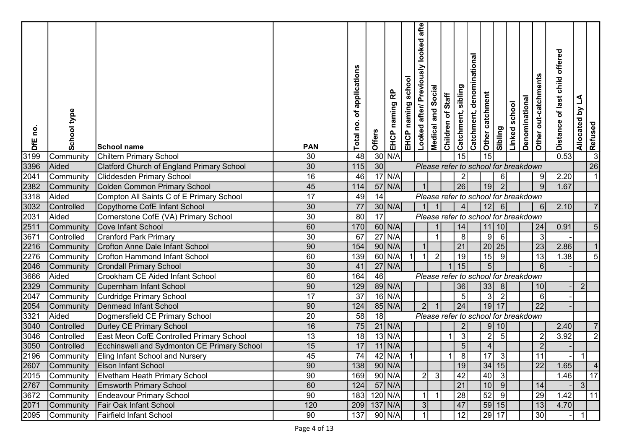| <u>c</u><br>DfE | School type    | <b>School name</b>                                 | <b>PAN</b>      | applications<br>ð<br><u>o</u><br>Total | Offers    | 윤<br>naming<br>EHCP | school<br>EHCP naming | afte<br>looked<br>usly<br>Looked after/ Previo | Social<br>Medical and | Children of Staff | Catchment, sibling                   | denominational<br>Other catchment<br>Catchment, | Sibling                                | school<br>Linked | Denominational | Other out-catchments | offered<br>child<br>of last<br><b>Distance</b> | L<br>Allocated by | Refused        |  |
|-----------------|----------------|----------------------------------------------------|-----------------|----------------------------------------|-----------|---------------------|-----------------------|------------------------------------------------|-----------------------|-------------------|--------------------------------------|-------------------------------------------------|----------------------------------------|------------------|----------------|----------------------|------------------------------------------------|-------------------|----------------|--|
| 3199            | Community      | Chiltern Primary School                            | 30              | 48                                     |           | $30$ N/A            |                       |                                                |                       |                   | 15                                   | 15                                              |                                        |                  |                |                      | 0.53                                           |                   | $\overline{3}$ |  |
| 3396            | Aided          | Clatford Church of England Primary School          | 30              | 115                                    | 30        |                     |                       |                                                |                       |                   | Please refer to school for breakdown |                                                 |                                        |                  |                |                      |                                                |                   | 26             |  |
| 2041            | Community      | <b>Cliddesden Primary School</b>                   | 16              | 46                                     |           | $\overline{17}$ N/A |                       |                                                |                       |                   |                                      |                                                 | -61                                    |                  |                | -9                   | 2.20                                           |                   |                |  |
| 2382            | Community      | Colden Common Primary School                       | 45              | 114                                    |           | $57$ N/A            |                       |                                                |                       |                   | $\overline{26}$                      | 19                                              | $\mathcal{P}$                          |                  |                | -9                   | 1.67                                           |                   |                |  |
| 3318            | Aided          | Compton All Saints C of E Primary School           | 17              | 49                                     | 14        |                     |                       |                                                |                       |                   | Please refer to school for breakdown |                                                 |                                        |                  |                |                      |                                                |                   |                |  |
| 3032            | Controlled     | Copythorne CofE Infant School                      | 30              | 77                                     |           | $30 \mid N/A$       |                       |                                                |                       |                   | Δ                                    | 12                                              | $6 \mid$                               |                  |                | 6                    | 2.10                                           |                   |                |  |
| 2031            | Aided          | Cornerstone CofE (VA) Primary School               | 30              | 80                                     | 17        |                     |                       |                                                |                       |                   | Please refer to school for breakdown |                                                 |                                        |                  |                |                      |                                                |                   |                |  |
| 2511            | Community      | Cove Infant School                                 | 60              | 170                                    |           | $60$ N/A            |                       |                                                |                       |                   | 14                                   |                                                 | 11 10                                  |                  |                | 24                   | 0.91                                           |                   |                |  |
| 3671            | Controlled     | Cranford Park Primary                              | 30              | 67                                     |           | $27$ N/A            |                       |                                                |                       |                   | 8                                    |                                                 | 9<br>6                                 |                  |                | 3                    |                                                |                   |                |  |
| 2216            | Community      | Crofton Anne Dale Infant School                    | 90              | 154                                    |           | $90$ N/A            |                       |                                                |                       |                   | 21                                   |                                                 | 20 25                                  |                  |                | 23                   | 2.86                                           |                   |                |  |
| 2276            | Community      | Crofton Hammond Infant School                      | 60              | 139                                    |           | $60$ N/A            |                       | - 1                                            | $\overline{2}$        |                   | 19                                   | $\overline{15}$                                 | -9                                     |                  |                | $\overline{13}$      | 1.38                                           |                   |                |  |
| 2046            | Community      | <b>Crondall Primary School</b>                     | 30              | 41                                     |           | $27$ N/A            |                       |                                                |                       |                   | 15                                   |                                                 | 5 <sub>5</sub>                         |                  |                | 6                    |                                                |                   |                |  |
| 3666            | Aided          | Crookham CE Aided Infant School                    | 60              | 164                                    | 46        |                     |                       |                                                |                       |                   | Please refer to school for breakdown |                                                 |                                        |                  |                |                      |                                                |                   |                |  |
| 2329            | Community      | Cupernham Infant School                            | 90              | 129                                    |           | $89$ N/A            |                       |                                                |                       |                   | 36                                   | 33                                              | 8                                      |                  |                | 10                   |                                                | $\overline{2}$    |                |  |
| 2047            | Community      | Curdridge Primary School                           | 17              | 37                                     |           | $16$ N/A            |                       |                                                |                       |                   |                                      |                                                 | $\sqrt{3}$<br>$\overline{2}$           |                  |                | 6                    |                                                |                   |                |  |
| 2054            | Community      | Denmead Infant School                              | 90              | 124                                    |           | $85$ N/A            |                       | 2 <sup>1</sup>                                 |                       |                   | 24                                   | 19                                              | 17                                     |                  |                | 22                   |                                                |                   |                |  |
| 3321            | Aided          | Dogmersfield CE Primary School                     | 20              | 58                                     | 18        |                     |                       |                                                |                       |                   | Please refer to school for breakdown |                                                 |                                        |                  |                |                      |                                                |                   |                |  |
| 3040            | Controlled     | Durley CE Primary School                           | 16              | 75                                     |           | $21$ N/A            |                       |                                                |                       |                   |                                      |                                                 | 10<br>9                                |                  |                |                      | 2.40                                           |                   |                |  |
| 3046            | Controlled     | East Meon CofE Controlled Primary School           | 13              | 18                                     |           | $13$ N/A            |                       |                                                |                       |                   | 3                                    |                                                 | $\mathbf{2}$<br>-5                     |                  |                |                      | 3.92                                           |                   | $\overline{2}$ |  |
| 3050            | Controlled     | <b>Ecchinswell and Sydmonton CE Primary School</b> | 15              | 17                                     |           | $11$ N/A            |                       |                                                |                       |                   | 5 <sub>5</sub>                       |                                                 | $\overline{4}$                         |                  |                | $\overline{2}$       |                                                |                   |                |  |
|                 |                | 2196 Community Eling Infant School and Nursery     | 45              | 74                                     |           | $42$ N/A            | $\vert$ 1             |                                                |                       | 1                 | 8                                    |                                                 | $\begin{vmatrix} 17 & 3 \end{vmatrix}$ |                  |                | $\vert$ 11           |                                                |                   |                |  |
|                 |                | 2607 Community Elson Infant School                 | 90              | 138                                    |           | $90$ N/A            |                       |                                                |                       |                   | 19                                   |                                                 | 34 15                                  |                  |                | $\overline{22}$      | 1.65                                           |                   |                |  |
|                 | 2015 Community | <b>Elvetham Heath Primary School</b>               | 90              | 169                                    |           | $90$ N/A            |                       | 2                                              | $\mathbf{3}$          |                   | 42                                   |                                                 | 40<br>$\vert$ 3                        |                  |                |                      | 1.46                                           |                   | 17             |  |
| 2767            | Community      | <b>Emsworth Primary School</b>                     | 60              | 124                                    |           | $57$ N/A            |                       |                                                |                       |                   | $\overline{21}$                      |                                                 | $\overline{10}$<br>9                   |                  |                | 14                   |                                                | 3 <sup>1</sup>    |                |  |
| 3672            | Community      | Endeavour Primary School                           | $\overline{90}$ | 183                                    | $120$ N/A |                     |                       |                                                |                       |                   | $\overline{28}$                      |                                                 | $\overline{52}$<br>-91                 |                  |                | 29                   | 1.42                                           |                   | 11             |  |
| 2071            | Community      | <b>Fair Oak Infant School</b>                      | 120             | 209                                    | $137$ N/A |                     |                       | 3                                              |                       |                   | 47                                   |                                                 | 59 15                                  |                  |                | 13                   | 4.70                                           |                   |                |  |
|                 | 2095 Community | Fairfield Infant School                            | 90              | 137                                    |           | 90 N/A              |                       |                                                |                       |                   | 12                                   |                                                 | $\overline{29}$ 17                     |                  |                | 30                   |                                                |                   |                |  |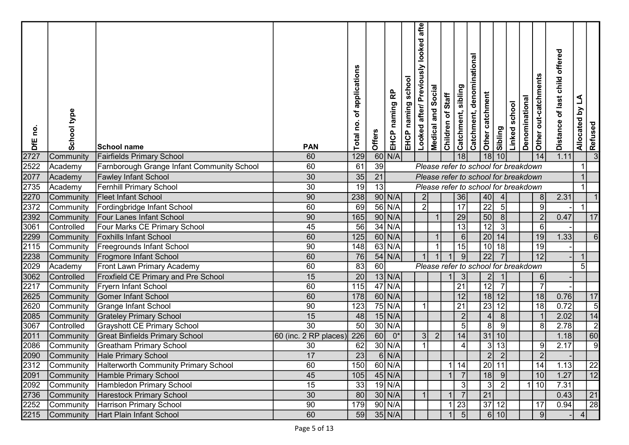| <u>o</u><br>DfE | School type | School name                                    | <b>PAN</b>              | applications<br>ð<br>0q<br>Total | Offers | 윤<br>naming<br>EHCP | school<br>EHCP naming | afte<br>usly looked<br>Looked after/ Previo | Social<br>Medical and | Children of Staff | Catchment, denominational<br>Catchment, sibling | Other catchment | Sibling                           | Linked school | Denominational | Other out-catchments | offered<br>of last child<br><b>Distance</b> | Allocated by LA | Refused         |  |
|-----------------|-------------|------------------------------------------------|-------------------------|----------------------------------|--------|---------------------|-----------------------|---------------------------------------------|-----------------------|-------------------|-------------------------------------------------|-----------------|-----------------------------------|---------------|----------------|----------------------|---------------------------------------------|-----------------|-----------------|--|
| 2727            | Community   | <b>Fairfields Primary School</b>               | 60                      | 129                              |        | $60$ N/A            |                       |                                             |                       |                   | 18                                              | 18              | 10 <sup>1</sup>                   |               |                | 14                   | 1.11                                        |                 | 3               |  |
| 2522            | Academy     | Farnborough Grange Infant Community School     | 60                      | 61                               | 39     |                     |                       |                                             |                       |                   | Please refer to school for breakdown            |                 |                                   |               |                |                      |                                             |                 |                 |  |
| 2077            | Academy     | <b>Fawley Infant School</b>                    | 30                      | 35                               | 21     |                     |                       |                                             |                       |                   | Please refer to school for breakdown            |                 |                                   |               |                |                      |                                             |                 |                 |  |
| 2735            | Academy     | Fernhill Primary School                        | $30\,$                  | 19                               | 13     |                     |                       |                                             |                       |                   | Please refer to school for breakdown            |                 |                                   |               |                |                      |                                             |                 |                 |  |
| 2270            | Community   | Fleet Infant School                            | 90                      | 238                              |        | $90 \mid N/A$       |                       | 2                                           |                       |                   | 36                                              | 40              | $\overline{4}$                    |               |                | 8                    | 2.31                                        |                 |                 |  |
| 2372            | Community   | Fordingbridge Infant School                    | 60                      | 69                               |        | $56$ N/A            |                       | $\overline{2}$                              |                       |                   | $\overline{17}$                                 | $\overline{22}$ | 5                                 |               |                | 9                    |                                             |                 |                 |  |
| 2392            | Community   | Four Lanes Infant School                       | 90                      | 165                              |        | $90$ N/A            |                       |                                             | $\mathbf 1$           |                   | 29                                              | 50              | 8                                 |               |                | $\overline{2}$       | 0.47                                        |                 | 17              |  |
| 3061            | Controlled  | Four Marks CE Primary School                   | 45                      | 56                               |        | $34$ N/A            |                       |                                             |                       |                   | 13                                              | 12              | 3                                 |               |                | 6                    |                                             |                 |                 |  |
| 2299            | Community   | <b>Foxhills Infant School</b>                  | 60                      | 125                              |        | $60$ N/A            |                       |                                             |                       |                   | $6\vert$                                        | 20              | 14                                |               |                | 19                   | 1.33                                        |                 | 6               |  |
| 2115            | Community   | <b>Freegrounds Infant School</b>               | 90                      | $\overline{148}$                 |        | $63$ N/A            |                       |                                             |                       |                   | 15                                              | 10 <sup>1</sup> | $\overline{18}$                   |               |                | 19                   |                                             |                 |                 |  |
| 2238            | Community   | <b>Frogmore Infant School</b>                  | 60                      | 76                               |        | $54$ N/A            |                       |                                             |                       |                   | $\overline{9}$                                  | $\overline{22}$ |                                   |               |                | 12                   |                                             |                 |                 |  |
| 2029            | Academy     | <b>Front Lawn Primary Academy</b>              | 60                      | 83                               | 60     |                     |                       |                                             |                       |                   | Please refer to school for breakdown            |                 |                                   |               |                |                      |                                             | 5               |                 |  |
| 3062            | Controlled  | <b>Froxfield CE Primary and Pre School</b>     | 15                      | $\overline{20}$                  |        | $13$ N/A            |                       |                                             |                       |                   | 3                                               |                 | $\overline{2}$                    |               |                | 6                    |                                             |                 |                 |  |
| 2217            | Community   | Fryern Infant School                           | 60                      | 115                              |        | $47$ N/A            |                       |                                             |                       |                   | 21                                              | 12              |                                   |               |                | $\overline{7}$       |                                             |                 |                 |  |
| 2625            | Community   | Gomer Infant School                            | 60                      | 178                              |        | $60$ N/A            |                       |                                             |                       |                   | 12                                              | 18              | 12                                |               |                | 18                   | 0.76                                        |                 | 17              |  |
| 2620            | Community   | <b>Grange Infant School</b>                    | 90                      | 123                              |        | $75$ N/A            |                       |                                             |                       |                   | $\overline{21}$                                 | 23              | 12                                |               |                | $\overline{18}$      | 0.72                                        |                 | $\overline{5}$  |  |
| 2085            | Community   | <b>Grateley Primary School</b>                 | 15                      | 48                               |        | $15$ N/A            |                       |                                             |                       |                   | 2                                               |                 | $\vert 4 \vert$<br>8 <sup>1</sup> |               |                |                      | 2.02                                        |                 | 14              |  |
| 3067            | Controlled  | <b>Grayshott CE Primary School</b>             | $\overline{30}$         | $\overline{50}$                  |        | 30 N/A              |                       |                                             |                       |                   | 5 <sup>1</sup>                                  |                 | 8 <sup>1</sup><br>9               |               |                | 8                    | 2.78                                        |                 | $\overline{2}$  |  |
| 2011            | Community   | <b>Great Binfields Primary School</b>          | $60$ (inc. 2 RP places) | 226                              | 60     | $0^*$               |                       | 3                                           | $\overline{2}$        |                   | 4                                               |                 | 31 10                             |               |                |                      | 1.18                                        |                 | 60              |  |
| 2086            | Community   | <b>Greatham Primary School</b>                 | 30                      | 62                               |        | 30 N/A              |                       |                                             |                       |                   |                                                 |                 | 13<br>3 <sup>1</sup>              |               |                | 9                    | 2.17                                        |                 | 9               |  |
|                 |             | 2090 Community Hale Primary School             | 17                      | $\overline{23}$                  |        | $6$ N/A             |                       |                                             |                       |                   |                                                 |                 | $\overline{2}$<br>$\vert$ 2       |               |                | $\Omega$             |                                             |                 |                 |  |
| 2312            |             | Community Halterworth Community Primary School | 60                      | 150                              |        | $60$ N/A            |                       |                                             |                       |                   | $1$   14                                        |                 | 20 11                             |               |                | $\overline{14}$      | 1.13                                        |                 | $\overline{22}$ |  |
| 2091            |             | Community Hamble Primary School                | 45                      | 105                              |        | $45$ N/A            |                       |                                             |                       |                   |                                                 | 18              | -9                                |               |                | 10                   | 1.27                                        |                 | $\overline{12}$ |  |
| 2092            |             | Community Hambledon Primary School             | 15                      | 33                               |        | $19$ N/A            |                       |                                             |                       |                   | 3                                               |                 | 3 <br>$\vert$ 2                   |               |                | 1 10                 | 7.31                                        |                 |                 |  |
| 2736            | Community   | Harestock Primary School                       | 30                      | 80                               |        | $30$ N/A            |                       |                                             |                       |                   | $\overline{7}$                                  | 21              |                                   |               |                |                      | 0.43                                        |                 | 21              |  |
| 2252            | Community   | Harrison Primary School                        | 90                      | 179                              |        | $90$ N/A            |                       |                                             |                       |                   | 23                                              |                 | 37 12                             |               |                | 17                   | 0.94                                        |                 | 28              |  |
| 2215            | Community   | Hart Plain Infant School                       | 60                      | 59                               |        | 35 N/A              |                       |                                             |                       |                   | 5 <sup>1</sup>                                  |                 | 6 10                              |               |                | 9                    |                                             | $\vert$         |                 |  |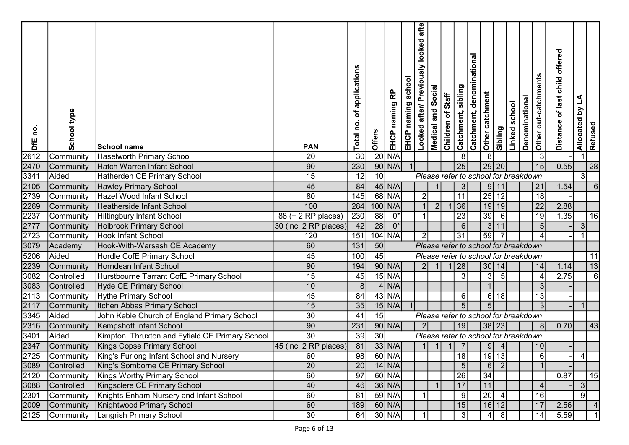| <u>o</u><br>DfE | School type        | School name                                                            | <b>PAN</b>                                      | applications<br>đ<br>å<br>Total | Offers          | 윤<br>naming<br>EHCP | school<br>EHCP naming | afte<br>looked<br>kisi<br>Looked after/ Previo | Social<br>Medical and | Children of Staff | Catchment, denominational<br>Catchment, sibling | Other catchment | Sibling                                       | school<br><b>Tinked</b> | Denominational | Other out-catchments | offered<br>child<br>of last<br><b>Distance</b> | L<br>Allocated by | Refused        |  |
|-----------------|--------------------|------------------------------------------------------------------------|-------------------------------------------------|---------------------------------|-----------------|---------------------|-----------------------|------------------------------------------------|-----------------------|-------------------|-------------------------------------------------|-----------------|-----------------------------------------------|-------------------------|----------------|----------------------|------------------------------------------------|-------------------|----------------|--|
| 2612            | Community          | <b>Haselworth Primary School</b>                                       | 20                                              | 30                              |                 | $20$ N/A            |                       |                                                |                       |                   | 8 <sup>1</sup>                                  |                 | 8                                             |                         |                | 3                    |                                                |                   |                |  |
| 2470            | Community          | Hatch Warren Infant School                                             | 90                                              | 230                             |                 | $90$ N/A            |                       |                                                |                       |                   | 25                                              |                 | 29 20                                         |                         |                | 15                   | 0.55                                           |                   | 28             |  |
| 3341            | Aided              | Hatherden CE Primary School                                            | 15                                              | 12                              | 10 <sup>1</sup> |                     |                       |                                                |                       |                   |                                                 |                 | Please refer to school for breakdown          |                         |                |                      |                                                | 31                |                |  |
| 2105            | Community          | Hawley Primary School                                                  | 45                                              | 84                              |                 | $45$ N/A            |                       |                                                |                       |                   |                                                 |                 | 9 11                                          |                         |                | 21                   | 1.54                                           |                   |                |  |
| 2739            | Community          | Hazel Wood Infant School                                               | 80                                              | 145                             |                 | 68 N/A              |                       | $\overline{2}$                                 |                       |                   | 11                                              | 25              | 12                                            |                         |                | $\overline{18}$      |                                                |                   |                |  |
| 2269            | Community          | Heatherside Infant School                                              | 100                                             | 284                             |                 | $100$ N/A           |                       |                                                | $\overline{2}$        |                   | 36                                              |                 | 19 19                                         |                         |                | $\overline{22}$      | 2.88                                           |                   |                |  |
| 2237            | Community          | <b>Hiltingbury Infant School</b>                                       | $\overline{88 (+ 2 \text{ RP} \text{ places})}$ | $\overline{230}$                | 88              | $0^*$               |                       |                                                |                       |                   | $\overline{23}$                                 | 39              | 6                                             |                         |                | $\overline{19}$      | 1.35                                           |                   | 16             |  |
| 2777            | Community          | <b>Holbrook Primary School</b>                                         | 30 (inc. 2 RP places)                           | 42                              | 28              | $0^*$               |                       |                                                |                       |                   | 6 <sup>1</sup>                                  |                 | 3 <br>11                                      |                         |                |                      |                                                | 3                 |                |  |
| 2723            | Community          | Hook Infant School                                                     | 120                                             | 151                             |                 | 104 N/A             |                       | $\vert$ 2                                      |                       |                   | 31                                              | 59              |                                               |                         |                |                      |                                                |                   |                |  |
| 3079            | Academy            | Hook-With-Warsash CE Academy                                           | 60                                              | 131                             | 50              |                     |                       |                                                |                       |                   |                                                 |                 | Please refer to school for breakdown          |                         |                |                      |                                                |                   |                |  |
| 5206            | Aided              | Hordle CofE Primary School                                             | 45                                              | 100                             | 45              |                     |                       |                                                |                       |                   |                                                 |                 | Please refer to school for breakdown          |                         |                |                      |                                                |                   | 11             |  |
| 2239            | Community          | Horndean Infant School                                                 | 90                                              | 194                             |                 | $90$ N/A            |                       | 2 <sup>1</sup>                                 |                       |                   | 28                                              |                 | 30 14                                         |                         |                | 14                   | 1.14                                           |                   | 13             |  |
| 3082            | Controlled         | Hurstbourne Tarrant CofE Primary School                                | 15                                              | 45                              |                 | $15$ N/A            |                       |                                                |                       |                   | 3 <sup>1</sup>                                  |                 | 3 <sup>1</sup><br>5                           |                         |                |                      | 2.75                                           |                   | $\overline{6}$ |  |
| 3083            | Controlled         | Hyde CE Primary School                                                 | 10                                              | $\boldsymbol{8}$                |                 | $4$ N/A             |                       |                                                |                       |                   |                                                 |                 |                                               |                         |                |                      |                                                |                   |                |  |
| 2113            | Community          | Hythe Primary School                                                   | 45                                              | 84                              |                 | $43$ N/A            |                       |                                                |                       |                   | 6 <sup>1</sup>                                  |                 | $6 \mid$<br>18<br>5                           |                         |                | 13                   |                                                |                   |                |  |
| 2117            | Community          | Itchen Abbas Primary School                                            | 15                                              | 35                              | 15              | $15$ N/A            |                       |                                                |                       |                   |                                                 |                 |                                               |                         |                |                      |                                                |                   |                |  |
| 3345            | Aided              | John Keble Church of England Primary School<br>Kempshott Infant School | 30<br>90                                        | 41<br>231                       |                 | $90$ N/A            |                       |                                                |                       |                   |                                                 |                 | Please refer to school for breakdown<br>38 23 |                         |                | 8                    | 0.70                                           |                   | 43             |  |
| 2316<br>3401    | Community<br>Aided | Kimpton, Thruxton and Fyfield CE Primary School                        | 30                                              | 39                              | 30 <sup>1</sup> |                     |                       |                                                |                       |                   | 19                                              |                 | Please refer to school for breakdown          |                         |                |                      |                                                |                   |                |  |
| 2347            | Community          | <b>Kings Copse Primary School</b>                                      | 45 (inc. 2 RP places)                           | 81                              |                 | $33$ N/A            |                       |                                                |                       |                   |                                                 |                 | 9                                             |                         |                | 10                   |                                                |                   |                |  |
|                 |                    | 2725 Community   King's Furlong Infant School and Nursery              | 60                                              | 98                              |                 | 60 N/A              |                       |                                                |                       |                   | 18                                              |                 | $19$ 13                                       |                         |                | $6\phantom{1}6$      |                                                |                   |                |  |
| 3089            | <b>Controlled</b>  | King's Somborne CE Primary School                                      | 20                                              | $\overline{20}$                 |                 | $14$ N/A            |                       |                                                |                       |                   | 5 <sup>1</sup>                                  |                 | 6<br>$\vert$ 2                                |                         |                |                      |                                                |                   |                |  |
| 2120            |                    | Community   Kings Worthy Primary School                                | 60                                              | 97                              |                 | 60 N/A              |                       |                                                |                       |                   | 26                                              | 34              |                                               |                         |                |                      | 0.87                                           |                   | 15             |  |
| 3088            | Controlled         | Kingsclere CE Primary School                                           | 40                                              | 46                              |                 | $36$ N/A            |                       |                                                |                       |                   | 17                                              | 11              |                                               |                         |                | $\overline{A}$       |                                                | 3 <sup>1</sup>    |                |  |
| 2301            |                    | Community Knights Enham Nursery and Infant School                      | 60                                              | 81                              |                 | $59$ N/A            |                       |                                                |                       |                   | -91                                             | 20              |                                               |                         |                | 16                   |                                                | 91                |                |  |
| 2009            |                    | Community   Knightwood Primary School                                  | 60                                              | 189                             |                 | $60$ N/A            |                       |                                                |                       |                   | 15                                              |                 | 16 12                                         |                         |                | 17                   | 2.56                                           |                   |                |  |
| 2125            |                    | Community   Langrish Primary School                                    | 30                                              | 64                              |                 | $30$ N/A            |                       |                                                |                       |                   | 31                                              |                 | -81                                           |                         |                | 14                   | 5.59                                           |                   |                |  |
|                 |                    |                                                                        |                                                 |                                 |                 |                     |                       |                                                |                       |                   |                                                 |                 |                                               |                         |                |                      |                                                |                   |                |  |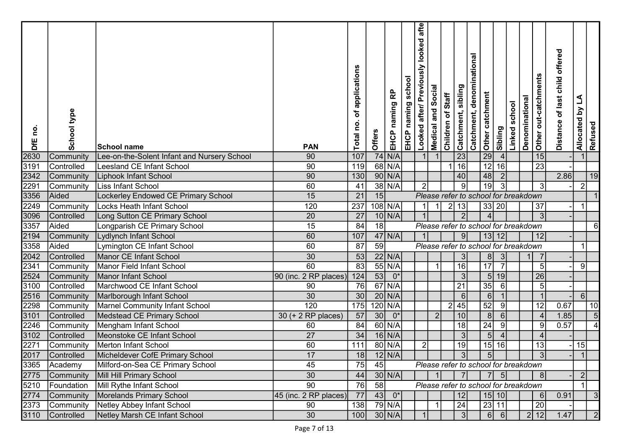| ou<br>DfE | School type     | <b>School name</b>                          | <b>PAN</b>              | applications<br>đ<br>0u<br>Total | Offers | 윤<br>naming<br>EHCP | school<br>EHCP naming | afte<br>looked<br>Μsı<br>Looked after/ Previo | Social<br>Medical and | Children of Staff | Catchment, denominational<br>Catchment, sibling | Other catchment | Sibling                              | school<br>Linked | Denominational | Other out-catchments     | offered<br>of last child<br><b>Distance</b> | $\Delta$<br>Allocated by | Refused   |  |
|-----------|-----------------|---------------------------------------------|-------------------------|----------------------------------|--------|---------------------|-----------------------|-----------------------------------------------|-----------------------|-------------------|-------------------------------------------------|-----------------|--------------------------------------|------------------|----------------|--------------------------|---------------------------------------------|--------------------------|-----------|--|
| 2630      | Community       | Lee-on-the-Solent Infant and Nursery School | 90                      | 107                              |        | $74$ N/A            |                       |                                               |                       |                   | 23                                              | 29              | 4                                    |                  |                | 15                       |                                             |                          |           |  |
| 3191      | Controlled      | Leesland CE Infant School                   | 90                      | 119                              |        | 68 N/A              |                       |                                               |                       |                   | $\overline{16}$                                 | 12              | 16                                   |                  |                | $\overline{23}$          |                                             |                          |           |  |
| 2342      | Community       | <b>Liphook Infant School</b>                | 90                      | 130                              |        | $90$ N/A            |                       |                                               |                       |                   | 40                                              | 48              | $\vert$ 2                            |                  |                |                          | 2.86                                        |                          | 19        |  |
| 2291      | Community       | Liss Infant School                          | 60                      | 41                               |        | 38 N/A              |                       | $\overline{2}$                                |                       |                   | 9                                               | 19              | 3                                    |                  |                | -3                       |                                             | 2                        |           |  |
| 3356      | Aided           | Lockerley Endowed CE Primary School         | 15                      | 21                               | 15     |                     |                       |                                               |                       |                   |                                                 |                 | Please refer to school for breakdown |                  |                |                          |                                             |                          |           |  |
| 2249      | Community       | Locks Heath Infant School                   | 120                     | 237                              |        | 108 N/A             |                       |                                               |                       | $\overline{2}$    | 13                                              |                 | 33 20                                |                  |                | 37                       |                                             |                          |           |  |
| 3096      | Controlled      | Long Sutton CE Primary School               | $\overline{20}$         | 27                               |        | $10$ N/A            |                       |                                               |                       |                   | $\overline{2}$                                  |                 | $\boldsymbol{\Lambda}$               |                  |                | 3                        |                                             |                          |           |  |
| 3357      | Aided           | Longparish CE Primary School                | 15                      | 84                               | 18     |                     |                       |                                               |                       |                   |                                                 |                 | Please refer to school for breakdown |                  |                |                          |                                             |                          | 6         |  |
| 2194      | Community       | Lydlynch Infant School                      | 60                      | 107                              |        | $47$ N/A            |                       |                                               |                       |                   | 9 <sup>1</sup>                                  | 13              | 12                                   |                  |                | 12                       |                                             |                          |           |  |
| 3358      | Aided           | Lymington CE Infant School                  | 60                      | 87                               | 59     |                     |                       |                                               |                       |                   |                                                 |                 | Please refer to school for breakdown |                  |                |                          |                                             |                          |           |  |
| 2042      | Controlled      | Manor CE Infant School                      | 30                      | 53                               |        | 22 N/A              |                       |                                               |                       |                   | 3                                               |                 | 8<br>3                               |                  |                |                          |                                             |                          |           |  |
| 2341      | Community       | Manor Field Infant School                   | 60                      | 83                               |        | $55$ N/A            |                       |                                               | -1                    |                   | 16                                              | 17              | $\overline{7}$                       |                  |                | -5                       |                                             | 9                        |           |  |
| 2524      | Community       | Manor Infant School                         | 90 (inc. 2 RP places)   | 124                              | 53     | $0^*$               |                       |                                               |                       |                   | 3                                               |                 | 5 <sub>5</sub><br>19                 |                  |                | 26                       |                                             |                          |           |  |
| 3100      | Controlled      | Marchwood CE Infant School                  | 90                      | 76                               |        | $67$ N/A            |                       |                                               |                       |                   | 21                                              | 35              | 6                                    |                  |                |                          |                                             |                          |           |  |
| 2516      | Community       | Marlborough Infant School                   | 30                      | 30                               |        | $20$ N/A            |                       |                                               |                       |                   | 6                                               |                 | $6 \mid$                             |                  |                |                          |                                             | 6                        |           |  |
| 2298      | Community       | Marnel Community Infant School              | 120                     | 175                              |        | $120$ N/A           |                       |                                               |                       |                   | 2 45                                            | 52              | $\overline{9}$                       |                  |                | $\overline{12}$          | 0.67                                        |                          | 10        |  |
| 3101      | Controlled      | Medstead CE Primary School                  | 30 (+ 2 RP places)      | 57                               | 30     | $0^*$               |                       |                                               | $\overline{2}$        |                   | 10 <sup>1</sup>                                 |                 | 8 <sup>1</sup><br>6                  |                  |                |                          | 1.85                                        |                          | 5         |  |
| 2246      | Community       | Mengham Infant School                       | 60                      | 84                               |        | $60$ N/A            |                       |                                               |                       |                   | 18                                              | $\overline{24}$ | 9                                    |                  |                | -9                       | 0.57                                        |                          |           |  |
| 3102      | Controlled      | Meonstoke CE Infant School                  | 27                      | 34                               |        | $16$ N/A            |                       |                                               |                       |                   | 3                                               |                 | 5 <sub>5</sub><br>$\overline{4}$     |                  |                | $\overline{\mathcal{L}}$ |                                             |                          |           |  |
| 2271      | Community       | Merton Infant School                        | 60                      | 111                              |        | 80 N/A              |                       | $\overline{2}$                                |                       |                   | 19                                              | 15              | 16                                   |                  |                | 13                       |                                             | 15                       |           |  |
|           | 2017 Controlled | Micheldever CofE Primary School             | 17                      | 18                               |        | $12$ N/A            |                       |                                               |                       |                   |                                                 |                 |                                      |                  |                |                          |                                             |                          |           |  |
|           | 3365 Academy    | Milford-on-Sea CE Primary School            | 45                      | 75                               | 45     |                     |                       |                                               |                       |                   |                                                 |                 | Please refer to school for breakdown |                  |                |                          |                                             |                          |           |  |
| 2775      |                 | Community   Mill Hill Primary School        | $30\,$                  | 44                               |        | $30$ N/A            |                       |                                               |                       |                   | <b>71</b>                                       |                 | 7<br>5                               |                  |                | 8                        |                                             | 2                        |           |  |
| 5210      |                 | Foundation   Mill Rythe Infant School       | 90                      | 76                               | 58     |                     |                       |                                               |                       |                   |                                                 |                 | Please refer to school for breakdown |                  |                |                          |                                             |                          |           |  |
| 2774      |                 | Community   Morelands Primary School        | $45$ (inc. 2 RP places) | 77                               |        | $43 0*$             |                       |                                               |                       |                   | 12                                              |                 | 15 10                                |                  |                | 6                        | 0.91                                        |                          |           |  |
| 2373      |                 | Community Netley Abbey Infant School        | 90                      | 138                              |        | $79$ N/A            |                       |                                               | -1                    |                   | 24                                              |                 | 23 11                                |                  |                | $\overline{20}$          |                                             |                          |           |  |
| 3110      | Controlled      | Netley Marsh CE Infant School               | 30                      | 100                              |        | $30$ N/A            |                       |                                               |                       |                   | 3I                                              |                 | 6<br>-61                             |                  |                | 2 12                     | 1.47                                        |                          | $\vert$ 2 |  |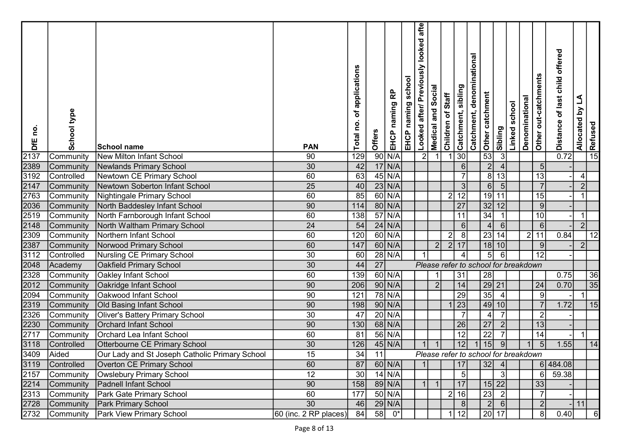| <u>c</u><br>DfE              | School type | <b>School name</b>                             | <b>PAN</b>            | of applications<br>Total no. | Offers          | EHCP naming RP       | school<br>EHCP naming | usly looked afte<br>Looked after/ Previo | <b>Medical and Social</b> | Children of Staff | Catchment, sibling                   | Catchment, denominational<br>Other catchment | Sibling                          | Linked school | Denominational | Other out-catchments | offered<br>of last child<br>Distance | Allocated by LA | $\frac{1}{\sqrt{2}}$ Refused |  |
|------------------------------|-------------|------------------------------------------------|-----------------------|------------------------------|-----------------|----------------------|-----------------------|------------------------------------------|---------------------------|-------------------|--------------------------------------|----------------------------------------------|----------------------------------|---------------|----------------|----------------------|--------------------------------------|-----------------|------------------------------|--|
| 2137                         | Community   | <b>New Milton Infant School</b>                | 90                    | 129                          |                 | 90 N/A               |                       | 2                                        | $\overline{\mathbf{1}}$   |                   | 30                                   |                                              | 53<br>$\overline{3}$             |               |                |                      | 0.72                                 |                 |                              |  |
| 2389<br>3192<br>2147<br>2763 | Community   | <b>Newlands Primary School</b>                 | 30                    | 42                           |                 | $17$ N/A             |                       |                                          |                           |                   | 6 <sup>1</sup>                       |                                              | $\overline{2}$<br>$\overline{4}$ |               |                | $\overline{5}$       |                                      |                 |                              |  |
|                              | Controlled  | Newtown CE Primary School                      | 60                    | 63                           |                 | $45$ N/A             |                       |                                          |                           |                   | $\overline{7}$                       |                                              | 8<br> 13                         |               |                | 13                   |                                      | 4               |                              |  |
|                              | Community   | Newtown Soberton Infant School                 | $\overline{25}$       | 40                           |                 | $23$ N/A             |                       |                                          |                           |                   | 3 <sup>1</sup>                       |                                              | 6<br>5 <sup>1</sup>              |               |                | $\overline{7}$       |                                      | 2               |                              |  |
|                              | Community   | Nightingale Primary School                     | 60                    | 85                           |                 | $60$ N/A             |                       |                                          |                           | 2                 | $\boxed{12}$                         |                                              | 19 <br>11                        |               |                | 15                   |                                      |                 |                              |  |
| 2036                         | Community   | North Baddesley Infant School                  | 90                    | 114                          |                 | 80 N/A               |                       |                                          |                           |                   | $\overline{27}$                      |                                              | 32 12                            |               |                | 9                    |                                      |                 |                              |  |
| 2519                         | Community   | North Farnborough Infant School                | 60                    | 138                          |                 | $57$ N/A             |                       |                                          |                           |                   | 11                                   |                                              | $\overline{34}$                  |               |                | 10                   |                                      | 1               |                              |  |
| 2148<br>2309<br>2387         | Community   | North Waltham Primary School                   | 24                    | 54                           |                 | $24$ N/A             |                       |                                          |                           |                   | 6                                    |                                              | 6<br>$\vert 4 \vert$             |               |                | 6                    |                                      | 2               |                              |  |
|                              | Community   | Northern Infant School                         | 60                    | 120                          |                 | $60$ N/A             |                       |                                          |                           | $\overline{2}$    | 8                                    |                                              | 23 14                            |               |                | 2 11                 | 0.84                                 |                 | 12                           |  |
|                              | Community   | Norwood Primary School                         | 60                    | 147                          |                 | 60 N/A               |                       |                                          | $\overline{2}$            | 2                 | 17                                   |                                              | $18$ 10                          |               |                | 9                    |                                      | 2               |                              |  |
| 3112                         | Controlled  | <b>Nursling CE Primary School</b>              | 30                    | 60                           |                 | $28 \overline{N/A} $ |                       |                                          |                           |                   |                                      |                                              | 5 <sub>5</sub><br>$6 \mid$       |               |                | 12                   |                                      |                 |                              |  |
| 2048                         | Academy     | Oakfield Primary School                        | 30                    | 44                           | 27              |                      |                       |                                          |                           |                   | Please refer to school for breakdown |                                              |                                  |               |                |                      |                                      |                 |                              |  |
| 2328                         | Community   | Oakley Infant School                           | 60                    | 139                          |                 | 60 N/A               |                       |                                          |                           |                   | 31                                   |                                              | 28                               |               |                |                      | 0.75                                 |                 | 36                           |  |
| 2012<br>2094                 | Community   | Oakridge Infant School                         | 90                    | 206                          |                 | $90$ N/A             |                       |                                          | $\overline{2}$            |                   | 14                                   |                                              | 29 21                            |               |                | 24                   | 0.70                                 |                 | $\overline{35}$              |  |
|                              | Community   | Oakwood Infant School                          | 90                    | 121                          |                 | 78 N/A               |                       |                                          |                           |                   | $\overline{29}$                      |                                              | $\overline{35}$<br>4             |               |                | 9                    |                                      |                 |                              |  |
| 2319                         | Community   | Old Basing Infant School                       | 90                    | 198                          |                 | $90$ N/A             |                       |                                          |                           |                   | $\boxed{23}$                         |                                              | 49 10                            |               |                |                      | 1.72                                 |                 | 15                           |  |
| 2326                         | Community   | Oliver's Battery Primary School                | 30                    | 47                           |                 | $20$ N/A             |                       |                                          |                           |                   | $\overline{7}$                       |                                              | $\overline{7}$<br>$\vert$        |               |                | $\overline{2}$       |                                      |                 |                              |  |
| 2230<br>2717                 | Community   | Orchard Infant School                          | 90                    | 130                          |                 | 68 N/A               |                       |                                          |                           |                   | 26                                   |                                              | 27<br>$\vert$ 2                  |               |                | 13                   |                                      |                 |                              |  |
|                              | Community   | Orchard Lea Infant School                      | 60                    | 81                           |                 | $56$ N/A             |                       |                                          |                           |                   | 12                                   |                                              | $\overline{22}$                  |               |                | 14                   |                                      |                 |                              |  |
| 3118                         | Controlled  | Otterbourne CE Primary School                  | 30                    | 126                          |                 | $45$ N/A             |                       |                                          |                           |                   | 12                                   |                                              | 15<br>9 <sup>1</sup>             |               |                | 5                    | 1.55                                 |                 | 14                           |  |
| 3409<br>3119                 | Aided       | Our Lady and St Joseph Catholic Primary School | $\overline{15}$       | $\overline{34}$              | $\overline{11}$ |                      |                       |                                          |                           |                   | Please refer to school for breakdown |                                              |                                  |               |                |                      |                                      |                 |                              |  |
|                              | Controlled  | Overton CE Primary School                      | 60                    | 87                           |                 | $60$ N/A             |                       |                                          |                           |                   | 17                                   |                                              | 32<br>$\vert$ 4                  |               |                |                      | 6 484.08                             |                 |                              |  |
| $\frac{2157}{2214}$          |             | Community   Owslebury Primary School           | $\overline{12}$       | 30                           |                 | $14$ N/A             |                       |                                          |                           |                   | 5                                    |                                              | 3                                |               |                | -6                   | 59.38                                |                 |                              |  |
|                              |             | Community   Padnell Infant School              | 90                    | 158                          |                 | 89 N/A               |                       |                                          |                           |                   | 17                                   |                                              | 15 22                            |               |                | 33                   |                                      |                 |                              |  |
| 2313                         | Community   | Park Gate Primary School                       | 60                    | 177                          |                 | $50$ N/A             |                       |                                          |                           |                   | 2 16                                 |                                              | 23 <br>$\vert$ 2                 |               |                |                      |                                      |                 |                              |  |
| 2728                         | Community   | <b>Park Primary School</b>                     | $\overline{30}$       | 46                           |                 | $29$ N/A             |                       |                                          |                           |                   | 8                                    |                                              | $\left  \right $<br>6            |               |                | $\overline{2}$       |                                      | 11              |                              |  |
| $\overline{2732}$            | Community   | <b>Park View Primary School</b>                | 60 (inc. 2 RP places) | 84                           |                 | $58$ $0*$            |                       |                                          |                           |                   | 12                                   |                                              | 20 17                            |               |                | 8                    | 0.40                                 |                 | 6                            |  |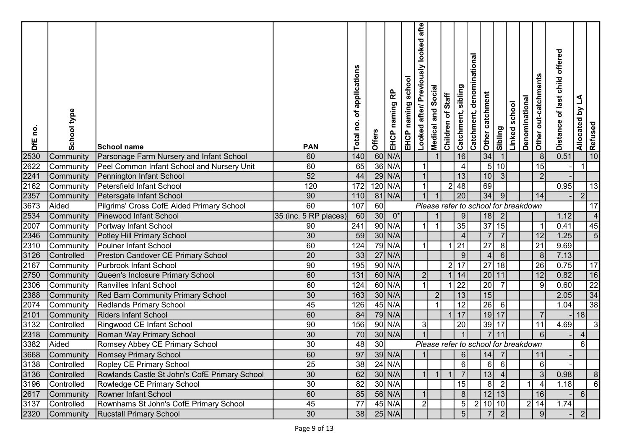| <u>o</u><br>DfE | School type       | School name                                   | <b>PAN</b>            | applications<br>đ<br>ě<br>Total | Offers | 윤<br>naming<br>EHCP | school<br>EHCP naming | afte<br>looked<br>usly<br>Looked after/ Previo | Social<br>Medical and | Children of Staff | Catchment, sibling | Catchment, denominational<br>Other catchment | Sibling                              | school<br>Linked : | Denominational | Other out-catchments | offered<br>of last child<br><b>Distance</b> | $\Delta$<br>Allocated by | Refused                  |  |
|-----------------|-------------------|-----------------------------------------------|-----------------------|---------------------------------|--------|---------------------|-----------------------|------------------------------------------------|-----------------------|-------------------|--------------------|----------------------------------------------|--------------------------------------|--------------------|----------------|----------------------|---------------------------------------------|--------------------------|--------------------------|--|
| 2530            | Community         | Parsonage Farm Nursery and Infant School      | 60                    | 140                             |        | $60$ N/A            |                       |                                                |                       |                   | 16                 | 34                                           |                                      |                    |                | 8                    | 0.51                                        |                          | 10                       |  |
| 2622            | Community         | Peel Common Infant School and Nursery Unit    | 60                    | 65                              |        | $36$ N/A            |                       |                                                |                       |                   |                    |                                              | 5 <sub>l</sub><br>10                 |                    |                | 15                   |                                             |                          |                          |  |
| 2241            | Community         | Pennington Infant School                      | 52                    | 44                              |        | $29$ N/A            |                       |                                                |                       |                   | 13                 | 10                                           | 3                                    |                    |                | $\overline{2}$       |                                             |                          |                          |  |
| 2162            | Community         | Petersfield Infant School                     | 120                   | 172                             |        | $120$ N/A           |                       |                                                |                       | $\overline{2}$    | 48                 | 69                                           |                                      |                    |                |                      | 0.95                                        |                          | 13                       |  |
| 2357            | Community         | Petersgate Infant School                      | 90                    | 110                             |        | 81 N/A              |                       |                                                |                       |                   | $\overline{20}$    | 34                                           | 9                                    |                    |                | 14                   |                                             | $\overline{2}$           |                          |  |
| 3673            | Aided             | Pilgrims' Cross CofE Aided Primary School     | 60                    | 107                             | 60     |                     |                       |                                                |                       |                   |                    |                                              | Please refer to school for breakdown |                    |                |                      |                                             |                          | 17                       |  |
| 2534            | Community         | Pinewood Infant School                        | 35 (inc. 5 RP places) | 60                              | 30     | $0^*$               |                       |                                                |                       |                   | 9                  | 18                                           | $\overline{2}$                       |                    |                |                      | 1.12                                        |                          | $\overline{\mathcal{L}}$ |  |
| 2007            | Community         | Portway Infant School                         | 90                    | 241                             |        | $90$ N/A            |                       |                                                |                       |                   | 35                 | 37                                           | 15                                   |                    |                | - 1                  | 0.41                                        |                          | 45                       |  |
| 2346            | Community         | Potley Hill Primary School                    | 30                    | 59                              |        | $30$ N/A            |                       |                                                |                       |                   |                    |                                              | $\overline{7}$<br>$\overline{7}$     |                    |                | 12                   | $1.25$                                      |                          | 5                        |  |
| 2310            | Community         | Poulner Infant School                         | 60                    | 124                             |        | $79$ N/A            |                       |                                                |                       |                   | 21                 | 27                                           | 8                                    |                    |                | $\overline{21}$      | 9.69                                        |                          |                          |  |
| 3126            | Controlled        | Preston Candover CE Primary School            | $\overline{20}$       | 33                              |        | $27$ N/A            |                       |                                                |                       |                   | 9                  |                                              | $\vert 4 \vert$<br>6                 |                    |                | 8                    | 7.13                                        |                          |                          |  |
| 2167            | Community         | Purbrook Infant School                        | 90                    | 195                             |        | $90$ N/A            |                       |                                                |                       | 2 17              |                    | $\overline{27}$                              | $\overline{18}$                      |                    |                | $\overline{26}$      | 0.75                                        |                          | 17                       |  |
| 2750            | Community         | Queen's Inclosure Primary School              | 60                    | 131                             |        | $60$ N/A            |                       | 2                                              |                       |                   | 14                 |                                              | 20 11                                |                    |                | 12                   | 0.82                                        |                          | 16                       |  |
| 2306            | Community         | Ranvilles Infant School                       | 60                    | 124                             |        | $60$ N/A            |                       |                                                |                       |                   | $\overline{22}$    | $\overline{20}$                              |                                      |                    |                | 9                    | 0.60                                        |                          | $\frac{22}{34}$          |  |
| 2388            | Community         | <b>Red Barn Community Primary School</b>      | 30                    | 163                             |        | $30$ N/A            |                       |                                                | $\overline{2}$        |                   | 13                 | 15                                           |                                      |                    |                |                      | 2.05                                        |                          |                          |  |
| 2074            | Community         | <b>Redlands Primary School</b>                | 45                    | 126                             |        | $45$ N/A            |                       |                                                |                       |                   | 12                 | $\overline{26}$                              | 6                                    |                    |                |                      | 1.04                                        |                          | $\overline{38}$          |  |
| 2101            | Community         | <b>Riders Infant School</b>                   | 60                    | 84                              |        | 79 N/A              |                       |                                                |                       |                   | 17                 |                                              | $19$ 17                              |                    |                |                      |                                             | 18                       |                          |  |
| 3132            | Controlled        | Ringwood CE Infant School                     | 90                    | 156                             |        | $90$ N/A            |                       | 3                                              |                       |                   | 20                 |                                              | 39 17                                |                    |                | 11                   | 4.69                                        |                          | 3                        |  |
| 2318            | Community         | Roman Way Primary School                      | 30                    | 70                              |        | $30$ N/A            |                       |                                                |                       |                   |                    |                                              | 11                                   |                    |                | 6                    |                                             | $\Delta$                 |                          |  |
| 3382            | Aided             | Romsey Abbey CE Primary School                | 30                    | 48                              | 30     |                     |                       |                                                |                       |                   |                    |                                              | Please refer to school for breakdown |                    |                |                      |                                             | 6                        |                          |  |
|                 |                   | 3668 Community Romsey Primary School          | 60                    | 97                              |        | $39$ N/A            |                       | 11                                             |                       |                   | 6I                 | 14                                           | - 7                                  |                    |                | 11                   |                                             |                          |                          |  |
| 3138            | Controlled        | Ropley CE Primary School                      | 25                    | 38                              |        | $24$ N/A            |                       |                                                |                       |                   | $6 \mid$           |                                              | 6<br>$6 \mid$                        |                    |                | 6                    |                                             |                          |                          |  |
| 3136            | <b>Controlled</b> | Rowlands Castle St John's CofE Primary School | 30                    | 62                              |        | $30$ N/A            |                       |                                                |                       |                   | <b>7</b>           |                                              | 13<br>$\overline{4}$                 |                    |                |                      | 0.98                                        |                          |                          |  |
| 3196            | Controlled        | Rowledge CE Primary School                    | $\overline{30}$       | 82                              |        | $30$ N/A            |                       |                                                |                       |                   | 15                 |                                              | 8                                    |                    |                |                      | 1.18                                        |                          |                          |  |
| 2617            | Community         | Rowner Infant School                          | 60                    | 85                              |        | $56$ N/A            |                       |                                                |                       |                   | 8 <sup>1</sup>     |                                              | 12 13                                |                    |                | 16                   |                                             | 6                        |                          |  |
| 3137            | Controlled        | Rownhams St John's CofE Primary School        | 45                    | 77                              |        | $45$ N/A            |                       | <sup>2</sup>                                   |                       |                   | 5 <sup>1</sup>     | $\vert$ 2                                    | 10 10                                |                    |                | 2 14                 | 1.74                                        |                          |                          |  |
| 2320            | Community         | <b>Rucstall Primary School</b>                | 30                    | 38                              |        | $25$ N/A            |                       |                                                |                       |                   | 5 <sup>1</sup>     |                                              | $\overline{2}$                       |                    |                | 9                    |                                             | 2 <sup>1</sup>           |                          |  |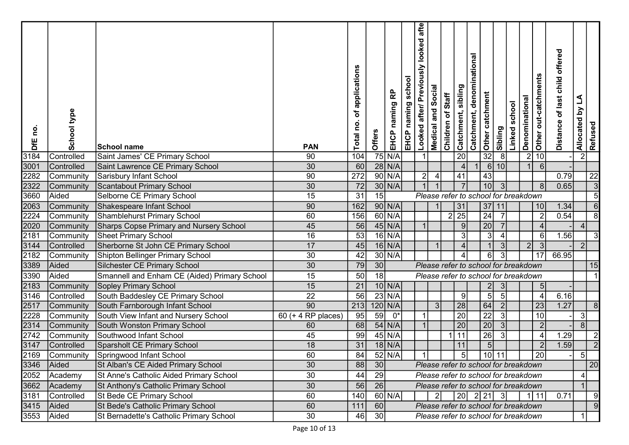| <u>ငိ</u><br>DfE | School type | <b>School name</b>                             | <b>PAN</b>         | of applications<br>$\mathbf{S}$<br>Total | Offers          | 윤<br>naming<br>EHCP | school<br>EHCP naming | afte<br>Looked after/ Previously looked | Social<br>Medical and | Children of Staff | Catchment, denominational<br>Catchment, sibling | Other catchment | Sibling              | school<br>Linked | Denominational | Other out-catchments | offered<br>of last child<br><b>Distance</b> | Allocated by LA | Refused         |  |
|------------------|-------------|------------------------------------------------|--------------------|------------------------------------------|-----------------|---------------------|-----------------------|-----------------------------------------|-----------------------|-------------------|-------------------------------------------------|-----------------|----------------------|------------------|----------------|----------------------|---------------------------------------------|-----------------|-----------------|--|
| 3184             | Controlled  | Saint James' CE Primary School                 | 90                 | 104                                      |                 | $75$ N/A            |                       |                                         |                       |                   | 20                                              | 32              | 8                    |                  |                | 2 10                 |                                             | 2               |                 |  |
| 3001             | Controlled  | Saint Lawrence CE Primary School               | 30                 | 60                                       |                 | $28$ N/A            |                       |                                         |                       |                   | $\boldsymbol{\Delta}$                           |                 | 6<br>10              |                  |                | 6                    |                                             |                 |                 |  |
| 2282             | Community   | Sarisbury Infant School                        | 90                 | 272                                      |                 | $90$ N/A            |                       | $\mathbf{2}$                            | $\overline{4}$        |                   | 41                                              | 43              |                      |                  |                |                      | 0.79                                        |                 | 22              |  |
| 2322             | Community   | Scantabout Primary School                      | 30                 | 72                                       |                 | $30$ N/A            |                       |                                         |                       |                   |                                                 | 10              | 3                    |                  |                | -8                   | 0.65                                        |                 | $\overline{3}$  |  |
| 3660             | Aided       | Selborne CE Primary School                     | 15                 | 31                                       | 15              |                     |                       |                                         |                       |                   | Please refer to school for breakdown            |                 |                      |                  |                |                      |                                             |                 |                 |  |
| 2063             | Community   | Shakespeare Infant School                      | 90                 | 162                                      |                 | $90$ N/A            |                       |                                         |                       |                   | 31                                              | 37              | 11                   |                  |                | 10                   | 1.34                                        |                 | 6               |  |
| 2224             | Community   | <b>Shamblehurst Primary School</b>             | 60                 | 156                                      |                 | $60$ N/A            |                       |                                         |                       | $\overline{2}$ 25 |                                                 | $\overline{24}$ |                      |                  |                | -2                   | 0.54                                        |                 | 8               |  |
| 2020             | Community   | <b>Sharps Copse Primary and Nursery School</b> | 45                 | 56                                       |                 | $45$ N/A            |                       |                                         |                       |                   | 9                                               | 20              |                      |                  |                |                      |                                             | $\overline{4}$  |                 |  |
| 2181             | Community   | <b>Sheet Primary School</b>                    | 16                 | 53                                       |                 | $16$ N/A            |                       |                                         |                       |                   |                                                 |                 | 3                    |                  |                | -6                   | 1.56                                        |                 |                 |  |
| 3144             | Controlled  | Sherborne St John CE Primary School            | 17                 | 45                                       |                 | $16$ N/A            |                       |                                         |                       |                   |                                                 |                 |                      |                  | 2              | -3                   |                                             | $\overline{2}$  |                 |  |
| 2182             | Community   | Shipton Bellinger Primary School               | $\overline{30}$    | 42                                       |                 | $30$ N/A            |                       |                                         |                       |                   |                                                 |                 | 6<br>3               |                  |                | 17                   | 66.95                                       |                 |                 |  |
| 3389             | Aided       | Silchester CE Primary School                   | $\overline{30}$    | 79                                       | 30              |                     |                       |                                         |                       |                   | Please refer to school for breakdown            |                 |                      |                  |                |                      |                                             |                 | 15              |  |
| 3390             | Aided       | Smannell and Enham CE (Aided) Primary School   | 15                 | 50                                       | 18              |                     |                       |                                         |                       |                   | Please refer to school for breakdown            |                 |                      |                  |                |                      |                                             |                 |                 |  |
| 2183             | Community   | Sopley Primary School                          | 15                 | 21                                       |                 | $10$ N/A            |                       |                                         |                       |                   |                                                 | $\overline{2}$  | 3                    |                  |                | $\overline{5}$       |                                             |                 |                 |  |
| 3146             | Controlled  | South Baddesley CE Primary School              | $\overline{22}$    | 56                                       |                 | $23$ N/A            |                       |                                         |                       |                   | 9                                               |                 | $5\overline{)}$<br>5 |                  |                | $\sqrt{2}$           | 6.16                                        |                 |                 |  |
| 2517             | Community   | South Farnborough Infant School                | $\overline{90}$    | $\boxed{213}$                            |                 | 120 N/A             |                       |                                         | 3                     |                   | $\overline{28}$                                 | 64              | $\overline{2}$       |                  |                | 23                   | 1.27                                        |                 |                 |  |
| 2228             | Community   | South View Infant and Nursery School           | 60 (+ 4 RP places) | 95                                       | 59              | $0^*$               |                       |                                         |                       |                   | $\overline{20}$                                 | $\overline{22}$ | 3                    |                  |                | 10                   |                                             | 3               |                 |  |
| 2314             | Community   | South Wonston Primary School                   | 60                 | 68                                       |                 | $54$ N/A            |                       |                                         |                       |                   | $\overline{20}$                                 | 20              | 3                    |                  |                | $\overline{2}$       |                                             | $\overline{8}$  |                 |  |
| 2742             | Community   | Southwood Infant School                        | 45                 | 99                                       |                 | $45$ N/A            |                       |                                         |                       |                   | 11                                              | $\overline{26}$ | $\mathbf{3}$         |                  |                |                      | .29                                         |                 |                 |  |
| 3147             | Controlled  | Sparsholt CE Primary School                    | 18                 | 31                                       |                 | $18$ N/A            |                       |                                         |                       |                   | 11                                              |                 | $5\overline{)}$      |                  |                | $\overline{2}$       | 1.59                                        |                 | $\overline{2}$  |  |
|                  |             | 2169 Community Springwood Infant School        | 60                 | 84                                       |                 | $52$ N/A            |                       |                                         |                       |                   |                                                 |                 |                      |                  |                |                      |                                             | д<br>◡          |                 |  |
| 3346             | Aided       | St Alban's CE Aided Primary School             | 30                 | 88                                       | 30              |                     |                       |                                         |                       |                   | Please refer to school for breakdown            |                 |                      |                  |                |                      |                                             |                 | $\overline{20}$ |  |
| 2052             | Academy     | St Anne's Catholic Aided Primary School        | 30                 | 44                                       | 29              |                     |                       |                                         |                       |                   | Please refer to school for breakdown            |                 |                      |                  |                |                      |                                             |                 |                 |  |
| 3662             | Academy     | St Anthony's Catholic Primary School           | 30                 | 56                                       | 26              |                     |                       |                                         |                       |                   | Please refer to school for breakdown            |                 |                      |                  |                |                      |                                             |                 |                 |  |
| 3181             | Controlled  | St Bede CE Primary School                      | 60                 | 140                                      |                 | $60$ N/A            |                       |                                         | $\mathbf{2}$          |                   | $ 20 $ 2 $ 21 $ 3                               |                 |                      |                  |                | 1111                 | 0.71                                        |                 |                 |  |
|                  | 3415 Aided  | St Bede's Catholic Primary School              | 60                 | 111                                      | 60              |                     |                       |                                         |                       |                   | Please refer to school for breakdown            |                 |                      |                  |                |                      |                                             |                 |                 |  |
| 3553             | Aided       | St Bernadette's Catholic Primary School        | 30                 | 46                                       | 30 <sup>l</sup> |                     |                       |                                         |                       |                   | Please refer to school for breakdown            |                 |                      |                  |                |                      |                                             |                 |                 |  |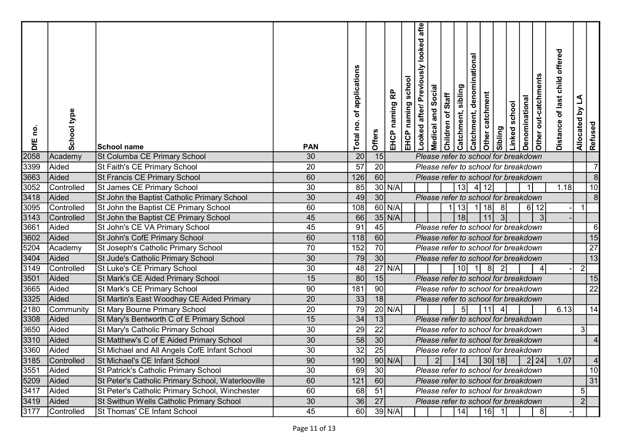| <u>o</u><br>DfE | School type        | ∣School name                                                               | <b>PAN</b>            | applications<br>Ⴆ<br>Total no. | Offers | 윤<br>EHCP naming | school<br>EHCP naming | usly looked afte<br>Looked after/ Previo | Social<br>Medical and | Children of Staff | Catchment, denominational<br>Catchment, sibling | Other catchment | sibling                                                                  | Linked school | Denominational | Other out-catchments | offered<br>of last child<br><b>Distance</b> | Allocated by LA | Refused         |
|-----------------|--------------------|----------------------------------------------------------------------------|-----------------------|--------------------------------|--------|------------------|-----------------------|------------------------------------------|-----------------------|-------------------|-------------------------------------------------|-----------------|--------------------------------------------------------------------------|---------------|----------------|----------------------|---------------------------------------------|-----------------|-----------------|
| 2058            | Academy            | St Columba CE Primary School                                               | 30                    | 20                             | 15     |                  |                       |                                          |                       |                   |                                                 |                 | Please refer to school for breakdown                                     |               |                |                      |                                             |                 |                 |
| 3399            | Aided              | St Faith's CE Primary School                                               | $\overline{20}$       | 57                             | 20     |                  |                       |                                          |                       |                   |                                                 |                 | Please refer to school for breakdown                                     |               |                |                      |                                             |                 |                 |
| 3663            | Aided              | St Francis CE Primary School                                               | 60                    | 126                            | 60     |                  |                       |                                          |                       |                   |                                                 |                 | Please refer to school for breakdown                                     |               |                |                      |                                             |                 | 8               |
| 3052            | Controlled         | St James CE Primary School                                                 | 30                    | 85                             |        | $30$ N/A         |                       |                                          |                       |                   | 13                                              | 12<br>4         |                                                                          |               | $\overline{1}$ |                      | 1.18                                        |                 | 10              |
| 3418            | Aided              | St John the Baptist Catholic Primary School                                | 30                    | 49                             | 30     |                  |                       |                                          |                       |                   |                                                 |                 | Please refer to school for breakdown                                     |               |                |                      |                                             |                 | 8               |
| 3095            | Controlled         | St John the Baptist CE Primary School                                      | 60                    | 108                            |        | $60$ N/A         |                       |                                          |                       |                   | 13                                              | 18              | 8 <sup>°</sup>                                                           |               | $6 \mid$       | 12                   |                                             |                 |                 |
| 3143<br>3661    | Controlled         | St John the Baptist CE Primary School                                      | 45                    | 66                             |        | $35$ N/A         |                       |                                          |                       |                   | 18 <sup>1</sup>                                 | 11              | $\overline{3}$                                                           |               |                | $\mathbf{3}$         |                                             |                 |                 |
|                 | Aided              | St John's CE VA Primary School                                             | $\overline{45}$       | 91                             | 45     |                  |                       |                                          |                       |                   |                                                 |                 | Please refer to school for breakdown                                     |               |                |                      |                                             |                 | 6               |
| 3602            | Aided              | St John's CofE Primary School                                              | 60                    | 118                            | 60     |                  |                       |                                          |                       |                   |                                                 |                 | Please refer to school for breakdown                                     |               |                |                      |                                             |                 | 15              |
| 5204            | Academy            | St Joseph's Catholic Primary School                                        | 70                    | 152                            | 70     |                  |                       |                                          |                       |                   |                                                 |                 | Please refer to school for breakdown                                     |               |                |                      |                                             |                 | $\overline{27}$ |
| 3404            | Aided              | St Jude's Catholic Primary School                                          | 30                    | 79                             | 30     |                  |                       |                                          |                       |                   |                                                 |                 | Please refer to school for breakdown                                     |               |                |                      |                                             |                 | 13              |
| 3149            | Controlled         | St Luke's CE Primary School                                                | 30                    | 48                             |        | $27$ N/A         |                       |                                          |                       |                   | 10 <sup>1</sup>                                 | $\overline{1}$  | -81<br>$\overline{2}$                                                    |               |                |                      |                                             | $\overline{2}$  |                 |
| 3501            | Aided              | St Mark's CE Aided Primary School                                          | 15                    | 80                             | 15     |                  |                       |                                          |                       |                   |                                                 |                 | Please refer to school for breakdown                                     |               |                |                      |                                             |                 | 15              |
| 3665            | Aided              | St Mark's CE Primary School                                                | 90                    | 181                            | 90     |                  |                       |                                          |                       |                   |                                                 |                 | Please refer to school for breakdown                                     |               |                |                      |                                             |                 | 22              |
| 3325            | Aided              | St Martin's East Woodhay CE Aided Primary                                  | $\overline{20}$       | 33                             | 18     |                  |                       |                                          |                       |                   |                                                 |                 | Please refer to school for breakdown                                     |               |                |                      |                                             |                 |                 |
| 2180<br>3308    | Community<br>Aided | St Mary Bourne Primary School<br>St Mary's Bentworth C of E Primary School | $\overline{20}$<br>15 | 79<br>34                       | 13     | $20$ N/A         |                       |                                          |                       |                   | 5 <sub>l</sub>                                  |                 | Please refer to school for breakdown                                     |               |                |                      | 6.13                                        |                 | 14              |
| 3650            | Aided              | St Mary's Catholic Primary School                                          | 30                    | 29                             | 22     |                  |                       |                                          |                       |                   |                                                 |                 | Please refer to school for breakdown                                     |               |                |                      |                                             | 3               |                 |
| 3310            | Aided              | St Matthew's C of E Aided Primary School                                   | 30                    | 58                             | 30     |                  |                       |                                          |                       |                   |                                                 |                 | Please refer to school for breakdown                                     |               |                |                      |                                             |                 |                 |
| 3360            | Aided              | St Michael and All Angels CofE Infant School                               | 30                    | 32                             | 25     |                  |                       |                                          |                       |                   |                                                 |                 | Please refer to school for breakdown                                     |               |                |                      |                                             |                 |                 |
| 3185            | <b>Controlled</b>  | St Michael's CE Infant School                                              | 90                    | 190                            |        | $90$ N/A         |                       |                                          | 2                     |                   |                                                 |                 | $\begin{vmatrix} 14 \end{vmatrix}$ $\begin{vmatrix} 30 \end{vmatrix}$ 18 |               |                | 2 24                 | 1.07                                        |                 | <sup>4</sup>    |
| 3551            | Aided              | St Patrick's Catholic Primary School                                       | 30                    | 69                             | 30     |                  |                       |                                          |                       |                   |                                                 |                 | Please refer to school for breakdown                                     |               |                |                      |                                             |                 | 10              |
| 5209            | Aided              | St Peter's Catholic Primary School, Waterlooville                          | 60                    | 121                            | 60     |                  |                       |                                          |                       |                   |                                                 |                 | Please refer to school for breakdown                                     |               |                |                      |                                             |                 | $\overline{31}$ |
| 3417            | Aided              | St Peter's Catholic Primary School, Winchester                             | 60                    | 68                             | 51     |                  |                       |                                          |                       |                   |                                                 |                 | Please refer to school for breakdown                                     |               |                |                      |                                             | 5 <sup>1</sup>  |                 |
| 3419            | Aided              | St Swithun Wells Catholic Primary School                                   | 30                    | 36                             | 27     |                  |                       |                                          |                       |                   |                                                 |                 | Please refer to school for breakdown                                     |               |                |                      |                                             | 2               |                 |
| 3177            | Controlled         | St Thomas' CE Infant School                                                | 45                    | 60                             |        | 39 N/A           |                       |                                          |                       |                   |                                                 |                 | $ 14 $ $ 16 $ 1                                                          |               |                | -81                  |                                             |                 |                 |
|                 |                    |                                                                            |                       |                                |        |                  |                       |                                          |                       |                   |                                                 |                 |                                                                          |               |                |                      |                                             |                 |                 |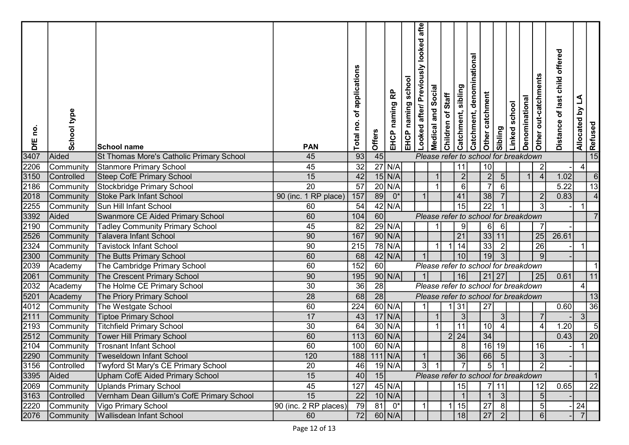| on<br>DfE | School type | School name                               | <b>PAN</b>            | applications<br>đ<br>o,<br>Total | Offers    | 윤<br>naming<br>EHCP | school<br>EHCP naming | Looked after/ Previously looked afte | Social<br>Medical and | Children of Staff | Catchment, denominational<br>Catchment, sibling | Other catchment | Sibling                              | Linked school | Denominational | Other out-catchments | offered<br>of last child<br><b>Distance</b> | Allocated by LA | Refused |
|-----------|-------------|-------------------------------------------|-----------------------|----------------------------------|-----------|---------------------|-----------------------|--------------------------------------|-----------------------|-------------------|-------------------------------------------------|-----------------|--------------------------------------|---------------|----------------|----------------------|---------------------------------------------|-----------------|---------|
| 3407      | Aided       | St Thomas More's Catholic Primary School  | 45                    | 93                               | 45        |                     |                       |                                      |                       |                   |                                                 |                 | Please refer to school for breakdown |               |                |                      |                                             |                 | 15      |
| 2206      | Community   | Stanmore Primary School                   | 45                    | $\overline{32}$                  |           | $27$ N/A            |                       |                                      |                       |                   | 11                                              | 10              |                                      |               |                | $\overline{2}$       |                                             | 41              |         |
| 3150      | Controlled  | <b>Steep CofE Primary School</b>          | 15                    | 42                               |           | $15$ N/A            |                       |                                      |                       |                   | 2                                               |                 | $\overline{2}$<br>5 <sub>l</sub>     |               | $\overline{1}$ | $\overline{4}$       | 1.02                                        |                 | 6       |
| 2186      | Community   | Stockbridge Primary School                | $\overline{20}$       | $\overline{57}$                  |           | $20$ N/A            |                       |                                      |                       |                   | 6                                               | $\overline{7}$  | 6                                    |               |                |                      | 5.22                                        |                 | 13      |
| 2018      | Community   | Stoke Park Infant School                  | 90 (inc. 1 RP place)  | 157                              | 89        | $0^*$               |                       |                                      |                       |                   | 41                                              | 38              |                                      |               |                |                      | 0.83                                        |                 |         |
| 2255      | Community   | Sun Hill Infant School                    | 60                    | 54                               |           | 42 N/A              |                       |                                      |                       |                   | 15                                              | $\overline{22}$ |                                      |               |                | 3                    |                                             |                 |         |
| 3392      | Aided       | Swanmore CE Aided Primary School          | 60                    | 104                              | 60        |                     |                       |                                      |                       |                   |                                                 |                 | Please refer to school for breakdown |               |                |                      |                                             |                 |         |
| 2190      | Community   | <b>Tadley Community Primary School</b>    | 45                    | 82                               |           | $29$ N/A            |                       |                                      |                       |                   | 9                                               |                 | 6<br>$6 \,$                          |               |                |                      |                                             |                 |         |
| 2526      | Community   | <b>Talavera Infant School</b>             | 90                    | 167                              |           | $90$ N/A            |                       |                                      |                       |                   | 21                                              | 33              | 11                                   |               |                | 25                   | 26.61                                       |                 |         |
| 2324      | Community   | <b>Tavistock Infant School</b>            | 90                    | 215                              |           | 78 N/A              |                       |                                      |                       |                   | 14                                              | 33              | $\overline{2}$                       |               |                | $\overline{26}$      |                                             |                 |         |
| 2300      | Community   | The Butts Primary School                  | 60                    | 68                               |           | $42$ N/A            |                       |                                      |                       |                   | 10 <sup>1</sup>                                 | 19              | $\overline{3}$                       |               |                | 9                    |                                             |                 |         |
| 2039      | Academy     | The Cambridge Primary School              | 60                    | 152                              | 60        |                     |                       |                                      |                       |                   |                                                 |                 | Please refer to school for breakdown |               |                |                      |                                             |                 |         |
| 2061      | Community   | The Crescent Primary School               | 90                    | 195                              |           | $90$ N/A            |                       |                                      |                       |                   | 16                                              |                 | $21$   27                            |               |                | 25                   | 0.61                                        |                 | 11      |
| 2032      | Academy     | The Holme CE Primary School               | 30                    | 36                               | 28        |                     |                       |                                      |                       |                   |                                                 |                 | Please refer to school for breakdown |               |                |                      |                                             | 4               |         |
| 5201      | Academy     | The Priory Primary School                 | 28                    | 68                               | 28        |                     |                       |                                      |                       |                   |                                                 |                 | Please refer to school for breakdown |               |                |                      |                                             |                 | 13      |
| 4012      | Community   | The Westgate School                       | 60                    | 224                              |           | $60$ N/A            |                       |                                      |                       |                   | 31                                              | 27              |                                      |               |                |                      | 0.60                                        |                 | 36      |
| 2111      | Community   | <b>Tiptoe Primary School</b>              | 17                    | 43                               |           | $17$ N/A            |                       |                                      |                       |                   | 3                                               |                 | 3                                    |               |                |                      |                                             | 31              |         |
| 2193      | Community   | <b>Titchfield Primary School</b>          | 30                    | 64                               |           | $30$ N/A            |                       |                                      |                       |                   | 11                                              | 10              |                                      |               |                | $\overline{A}$       | $\overline{20}$                             |                 |         |
| 2512      | Community   | <b>Tower Hill Primary School</b>          | 60                    | $\overline{113}$                 |           | $60$ N/A            |                       |                                      |                       | 2 24              |                                                 | 34              |                                      |               |                |                      | 0.43                                        |                 | 20      |
| 2104      | Community   | Trosnant Infant School                    | 60                    | 100                              |           | $60$ N/A            |                       |                                      |                       |                   | 8                                               | 16              | 19                                   |               |                | 16                   |                                             |                 |         |
|           |             | 2290 Community Tweseldown Infant School   | 120                   | 188                              | $111$ N/A |                     |                       |                                      |                       |                   | 36                                              | 66              | $\vert 5 \vert$                      |               |                | $\mathbf{3}$         |                                             |                 |         |
| 3156      | Controlled  | Twyford St Mary's CE Primary School       | 20                    | 46                               |           | $19$ N/A            |                       | 3 <sup>1</sup>                       |                       |                   |                                                 | 5               |                                      |               |                |                      |                                             |                 |         |
| 3395      | Aided       | Upham CofE Aided Primary School           | 15                    | 40                               | 15        |                     |                       |                                      |                       |                   |                                                 |                 | Please refer to school for breakdown |               |                |                      |                                             |                 |         |
| 2069      |             | Community Uplands Primary School          | 45                    | 127                              |           | $45$ N/A            |                       |                                      |                       |                   | 15                                              |                 | 7 11                                 |               |                | 12                   | 0.65                                        |                 | 22      |
| 3163      | Controlled  | Vernham Dean Gillum's CofE Primary School | 15                    | 22                               |           | $10$ N/A            |                       |                                      |                       |                   |                                                 |                 | $\lvert 3 \rvert$                    |               |                |                      |                                             |                 |         |
| 2220      |             | Community   Vigo Primary School           | 90 (inc. 2 RP places) | $\overline{79}$                  |           | $81$ $0*$           |                       |                                      |                       | 1 15              |                                                 | 27              | 8                                    |               |                |                      |                                             | 24              |         |
| 2076      |             | Community   Wallisdean Infant School      | 60                    | 72                               |           | $60$ N/A            |                       |                                      |                       |                   | 18                                              | 27              | <sup>2</sup>                         |               |                |                      |                                             | 7 <sup>1</sup>  |         |